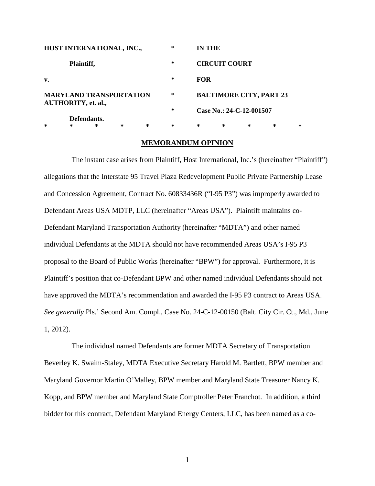| HOST INTERNATIONAL, INC.,                                                   |   |   |   |   | 宗 | <b>IN THE</b>                                              |   |   |   |   |
|-----------------------------------------------------------------------------|---|---|---|---|---|------------------------------------------------------------|---|---|---|---|
| Plaintiff,                                                                  |   |   |   |   | * | <b>CIRCUIT COURT</b>                                       |   |   |   |   |
| v.                                                                          |   |   |   |   | 宋 | <b>FOR</b>                                                 |   |   |   |   |
| <b>MARYLAND TRANSPORTATION</b><br><b>AUTHORITY, et. al.,</b><br>Defendants. |   |   |   |   | * | <b>BALTIMORE CITY, PART 23</b><br>Case No.: 24-C-12-001507 |   |   |   |   |
|                                                                             |   |   |   |   | 宋 |                                                            |   |   |   |   |
|                                                                             |   |   |   |   |   |                                                            |   |   |   |   |
| ж                                                                           | 宗 | ∗ | * | ∗ | 杂 | ∗                                                          | * | ∗ | ∗ | ж |

#### **MEMORANDUM OPINION**

The instant case arises from Plaintiff, Host International, Inc.'s (hereinafter "Plaintiff") allegations that the Interstate 95 Travel Plaza Redevelopment Public Private Partnership Lease and Concession Agreement, Contract No. 60833436R ("I-95 P3") was improperly awarded to Defendant Areas USA MDTP, LLC (hereinafter "Areas USA"). Plaintiff maintains co-Defendant Maryland Transportation Authority (hereinafter "MDTA") and other named individual Defendants at the MDTA should not have recommended Areas USA's I-95 P3 proposal to the Board of Public Works (hereinafter "BPW") for approval. Furthermore, it is Plaintiff's position that co-Defendant BPW and other named individual Defendants should not have approved the MDTA's recommendation and awarded the I-95 P3 contract to Areas USA. *See generally* Pls.' Second Am. Compl., Case No. 24-C-12-00150 (Balt. City Cir. Ct., Md., June 1, 2012).

The individual named Defendants are former MDTA Secretary of Transportation Beverley K. Swaim-Staley, MDTA Executive Secretary Harold M. Bartlett, BPW member and Maryland Governor Martin O'Malley, BPW member and Maryland State Treasurer Nancy K. Kopp, and BPW member and Maryland State Comptroller Peter Franchot. In addition, a third bidder for this contract, Defendant Maryland Energy Centers, LLC, has been named as a co-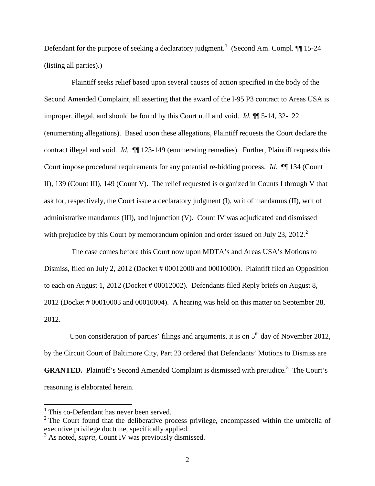Defendant for the purpose of seeking a declaratory judgment.<sup>[1](#page-1-0)</sup> (Second Am. Compl.  $\P$  15-24 (listing all parties).)

Plaintiff seeks relief based upon several causes of action specified in the body of the Second Amended Complaint, all asserting that the award of the I-95 P3 contract to Areas USA is improper, illegal, and should be found by this Court null and void. *Id.* ¶¶ 5-14, 32-122 (enumerating allegations). Based upon these allegations, Plaintiff requests the Court declare the contract illegal and void. *Id.* **[10** 123-149 (enumerating remedies). Further, Plaintiff requests this Court impose procedural requirements for any potential re-bidding process. *Id.* ¶¶ 134 (Count II), 139 (Count III), 149 (Count V). The relief requested is organized in Counts I through V that ask for, respectively, the Court issue a declaratory judgment (I), writ of mandamus (II), writ of administrative mandamus (III), and injunction (V). Count IV was adjudicated and dismissed with prejudice by this Court by memorandum opinion and order issued on July [2](#page-1-1)3, 2012.<sup>2</sup>

The case comes before this Court now upon MDTA's and Areas USA's Motions to Dismiss, filed on July 2, 2012 (Docket # 00012000 and 00010000). Plaintiff filed an Opposition to each on August 1, 2012 (Docket # 00012002). Defendants filed Reply briefs on August 8, 2012 (Docket # 00010003 and 00010004). A hearing was held on this matter on September 28, 2012.

Upon consideration of parties' filings and arguments, it is on  $5<sup>th</sup>$  day of November 2012, by the Circuit Court of Baltimore City, Part 23 ordered that Defendants' Motions to Dismiss are **GRANTED.** Plaintiff's Second Amended Complaint is dismissed with prejudice.<sup>[3](#page-1-2)</sup> The Court's reasoning is elaborated herein.

<span id="page-1-0"></span><sup>&</sup>lt;sup>1</sup> This co-Defendant has never been served.

<span id="page-1-1"></span> $2$  The Court found that the deliberative process privilege, encompassed within the umbrella of executive privilege doctrine, specifically applied.

<span id="page-1-2"></span><sup>&</sup>lt;sup>3</sup> As noted, *supra*, Count IV was previously dismissed.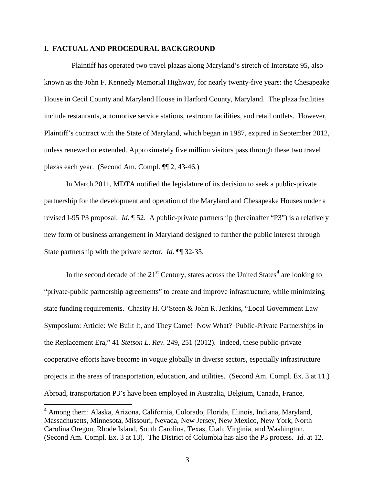# **I. FACTUAL AND PROCEDURAL BACKGROUND**

Plaintiff has operated two travel plazas along Maryland's stretch of Interstate 95, also known as the John F. Kennedy Memorial Highway, for nearly twenty-five years: the Chesapeake House in Cecil County and Maryland House in Harford County, Maryland. The plaza facilities include restaurants, automotive service stations, restroom facilities, and retail outlets. However, Plaintiff's contract with the State of Maryland, which began in 1987, expired in September 2012, unless renewed or extended. Approximately five million visitors pass through these two travel plazas each year. (Second Am. Compl. ¶¶ 2, 43-46.)

In March 2011, MDTA notified the legislature of its decision to seek a public-private partnership for the development and operation of the Maryland and Chesapeake Houses under a revised I-95 P3 proposal. *Id.* ¶ 52. A public-private partnership (hereinafter "P3") is a relatively new form of business arrangement in Maryland designed to further the public interest through State partnership with the private sector. *Id*. ¶¶ 32-35.

In the second decade of the  $21<sup>st</sup>$  Century, states across the United States<sup>[4](#page-2-0)</sup> are looking to "private-public partnership agreements" to create and improve infrastructure, while minimizing state funding requirements. Chasity H. O'Steen & John R. Jenkins, "Local Government Law Symposium: Article: We Built It, and They Came! Now What? Public-Private Partnerships in the Replacement Era," 41 *Stetson L. Rev.* 249, 251 (2012). Indeed, these public-private cooperative efforts have become in vogue globally in diverse sectors, especially infrastructure projects in the areas of transportation, education, and utilities. (Second Am. Compl. Ex. 3 at 11.) Abroad, transportation P3's have been employed in Australia, Belgium, Canada, France,

<span id="page-2-0"></span><sup>4</sup> Among them: Alaska, Arizona, California, Colorado, Florida, Illinois, Indiana, Maryland, Massachusetts, Minnesota, Missouri, Nevada, New Jersey, New Mexico, New York, North Carolina Oregon, Rhode Island, South Carolina, Texas, Utah, Virginia, and Washington. (Second Am. Compl. Ex. 3 at 13). The District of Columbia has also the P3 process. *Id*. at 12.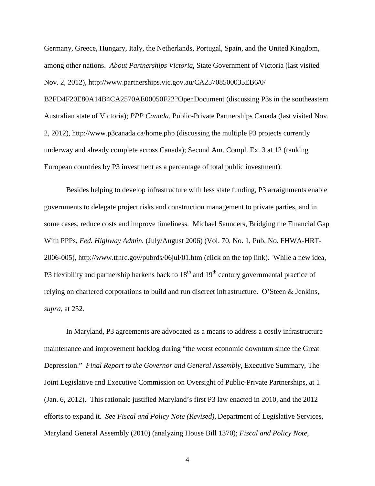Germany, Greece, Hungary, Italy, the Netherlands, Portugal, Spain, and the United Kingdom, among other nations. *About Partnerships Victoria*, State Government of Victoria (last visited Nov. 2, 2012), http://www.partnerships.vic.gov.au/CA25708500035EB6/0/ B2FD4F20E80A14B4CA2570AE00050F22?OpenDocument (discussing P3s in the southeastern Australian state of Victoria); *PPP Canada*, Public-Private Partnerships Canada (last visited Nov. 2, 2012), http://www.p3canada.ca/home.php (discussing the multiple P3 projects currently underway and already complete across Canada); Second Am. Compl. Ex. 3 at 12 (ranking European countries by P3 investment as a percentage of total public investment).

Besides helping to develop infrastructure with less state funding, P3 arraignments enable governments to delegate project risks and construction management to private parties, and in some cases, reduce costs and improve timeliness. Michael Saunders, Bridging the Financial Gap With PPPs, *Fed. Highway Admin.* (July/August 2006) (Vol. 70, No. 1, Pub. No. FHWA-HRT-2006-005), http://www.tfhrc.gov/pubrds/06jul/01.htm (click on the top link). While a new idea, P3 flexibility and partnership harkens back to  $18<sup>th</sup>$  and  $19<sup>th</sup>$  century governmental practice of relying on chartered corporations to build and run discreet infrastructure. O'Steen & Jenkins, *supra*, at 252.

In Maryland, P3 agreements are advocated as a means to address a costly infrastructure maintenance and improvement backlog during "the worst economic downturn since the Great Depression." *Final Report to the Governor and General Assembly*, Executive Summary, The Joint Legislative and Executive Commission on Oversight of Public-Private Partnerships, at 1 (Jan. 6, 2012). This rationale justified Maryland's first P3 law enacted in 2010, and the 2012 efforts to expand it. *See Fiscal and Policy Note (Revised)*, Department of Legislative Services, Maryland General Assembly (2010) (analyzing House Bill 1370); *Fiscal and Policy Note*,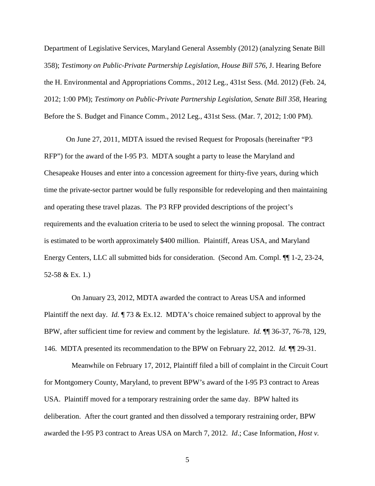Department of Legislative Services, Maryland General Assembly (2012) (analyzing Senate Bill 358); *Testimony on Public-Private Partnership Legislation, House Bill 576*, J. Hearing Before the H. Environmental and Appropriations Comms., 2012 Leg., 431st Sess. (Md. 2012) (Feb. 24, 2012; 1:00 PM); *Testimony on Public-Private Partnership Legislation, Senate Bill 358*, Hearing Before the S. Budget and Finance Comm., 2012 Leg., 431st Sess. (Mar. 7, 2012; 1:00 PM).

On June 27, 2011, MDTA issued the revised Request for Proposals (hereinafter "P3 RFP") for the award of the I-95 P3. MDTA sought a party to lease the Maryland and Chesapeake Houses and enter into a concession agreement for thirty-five years, during which time the private-sector partner would be fully responsible for redeveloping and then maintaining and operating these travel plazas. The P3 RFP provided descriptions of the project's requirements and the evaluation criteria to be used to select the winning proposal. The contract is estimated to be worth approximately \$400 million. Plaintiff, Areas USA, and Maryland Energy Centers, LLC all submitted bids for consideration. (Second Am. Compl. ¶¶ 1-2, 23-24, 52-58 & Ex. 1.)

On January 23, 2012, MDTA awarded the contract to Areas USA and informed Plaintiff the next day. *Id.* ¶ 73 & Ex.12. MDTA's choice remained subject to approval by the BPW, after sufficient time for review and comment by the legislature. *Id.* ¶¶ 36-37, 76-78, 129, 146. MDTA presented its recommendation to the BPW on February 22, 2012. *Id.* ¶¶ 29-31.

Meanwhile on February 17, 2012, Plaintiff filed a bill of complaint in the Circuit Court for Montgomery County, Maryland, to prevent BPW's award of the I-95 P3 contract to Areas USA. Plaintiff moved for a temporary restraining order the same day. BPW halted its deliberation. After the court granted and then dissolved a temporary restraining order, BPW awarded the I-95 P3 contract to Areas USA on March 7, 2012. *Id*.; Case Information, *Host v.*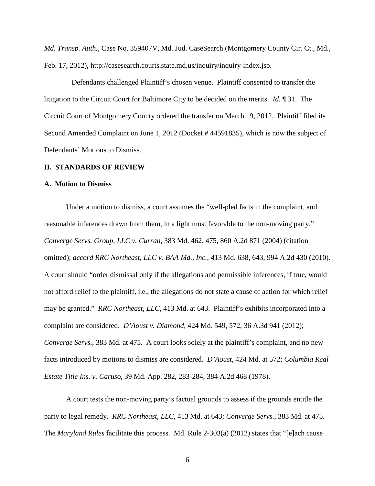*Md. Transp. Auth.*, Case No. 359407V, Md. Jud. CaseSearch (Montgomery County Cir. Ct., Md., Feb. 17, 2012), http://casesearch.courts.state.md.us/inquiry/inquiry-index.jsp.

Defendants challenged Plaintiff's chosen venue. Plaintiff consented to transfer the litigation to the Circuit Court for Baltimore City to be decided on the merits. *Id.* ¶ 31. The Circuit Court of Montgomery County ordered the transfer on March 19, 2012. Plaintiff filed its Second Amended Complaint on June 1, 2012 (Docket # 44591835), which is now the subject of Defendants' Motions to Dismiss.

#### **II. STANDARDS OF REVIEW**

#### **A. Motion to Dismiss**

Under a motion to dismiss, a court assumes the "well-pled facts in the complaint, and reasonable inferences drawn from them, in a light most favorable to the non-moving party." *Converge Servs. Group, LLC v. Curran*, 383 Md. 462, 475, 860 A.2d 871 (2004) (citation omitted); *accord RRC Northeast, LLC v. BAA Md., Inc.*, 413 Md. 638, 643, 994 A.2d 430 (2010). A court should "order dismissal only if the allegations and permissible inferences, if true, would not afford relief to the plaintiff, i.e., the allegations do not state a cause of action for which relief may be granted." *RRC Northeast, LLC*, 413 Md. at 643. Plaintiff's exhibits incorporated into a complaint are considered. *D'Aoust v. Diamond*, 424 Md. 549, 572, 36 A.3d 941 (2012); *Converge Servs.*, 383 Md. at 475. A court looks solely at the plaintiff's complaint, and no new facts introduced by motions to dismiss are considered. *D'Aoust*, 424 Md. at 572; *Columbia Real Estate Title Ins. v. Caruso*, 39 Md. App. 282, 283-284, 384 A.2d 468 (1978).

A court tests the non-moving party's factual grounds to assess if the grounds entitle the party to legal remedy. *RRC Northeast, LLC*, 413 Md. at 643; *Converge Servs.*, 383 Md. at 475. The *Maryland Rules* facilitate this process. Md. Rule 2-303(a) (2012) states that "[e]ach cause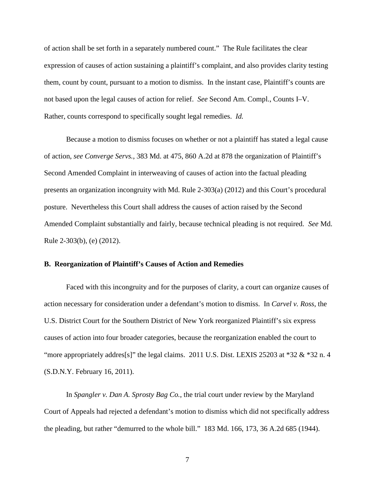of action shall be set forth in a separately numbered count." The Rule facilitates the clear expression of causes of action sustaining a plaintiff's complaint, and also provides clarity testing them, count by count, pursuant to a motion to dismiss. In the instant case, Plaintiff's counts are not based upon the legal causes of action for relief. *See* Second Am. Compl., Counts I–V. Rather, counts correspond to specifically sought legal remedies. *Id.*

Because a motion to dismiss focuses on whether or not a plaintiff has stated a legal cause of action, *see Converge Servs.*, 383 Md. at 475, 860 A.2d at 878 the organization of Plaintiff's Second Amended Complaint in interweaving of causes of action into the factual pleading presents an organization incongruity with Md. Rule 2-303(a) (2012) and this Court's procedural posture. Nevertheless this Court shall address the causes of action raised by the Second Amended Complaint substantially and fairly, because technical pleading is not required. *See* Md. Rule 2-303(b), (e) (2012).

# **B. Reorganization of Plaintiff's Causes of Action and Remedies**

Faced with this incongruity and for the purposes of clarity, a court can organize causes of action necessary for consideration under a defendant's motion to dismiss. In *Carvel v. Ross*, the U.S. District Court for the Southern District of New York reorganized Plaintiff's six express causes of action into four broader categories, because the reorganization enabled the court to "more appropriately addres<sup>[s]"</sup> the legal claims. 2011 U.S. Dist. LEXIS 25203 at  $*32 \& *32$  n. 4 (S.D.N.Y. February 16, 2011).

In *Spangler v. Dan A. Sprosty Bag Co.*, the trial court under review by the Maryland Court of Appeals had rejected a defendant's motion to dismiss which did not specifically address the pleading, but rather "demurred to the whole bill." 183 Md. 166, 173, 36 A.2d 685 (1944).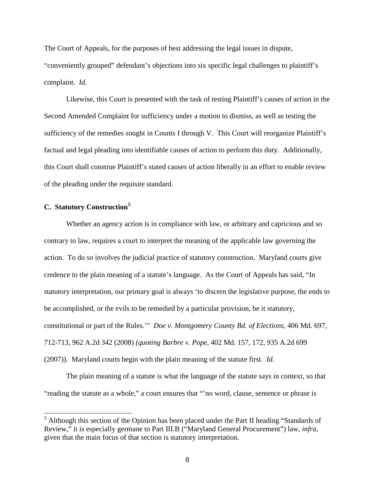The Court of Appeals, for the purposes of best addressing the legal issues in dispute, "conveniently grouped" defendant's objections into six specific legal challenges to plaintiff's complaint. *Id.*

Likewise, this Court is presented with the task of testing Plaintiff's causes of action in the Second Amended Complaint for sufficiency under a motion to dismiss, as well as testing the sufficiency of the remedies sought in Counts I through V. This Court will reorganize Plaintiff's factual and legal pleading into identifiable causes of action to perform this duty. Additionally, this Court shall construe Plaintiff's stated causes of action liberally in an effort to enable review of the pleading under the requisite standard.

# **C. Statutory Construction[5](#page-7-0)**

Whether an agency action is in compliance with law, or arbitrary and capricious and so contrary to law, requires a court to interpret the meaning of the applicable law governing the action. To do so involves the judicial practice of statutory construction. Maryland courts give credence to the plain meaning of a statute's language. As the Court of Appeals has said, "In statutory interpretation, our primary goal is always 'to discern the legislative purpose, the ends to be accomplished, or the evils to be remedied by a particular provision, be it statutory, constitutional or part of the Rules.'" *Doe v. Montgomery County Bd. of Elections*, 406 Md. 697, 712-713, 962 A.2d 342 (2008) *(quoting Barbre v. Pope*, 402 Md. 157, 172, 935 A.2d 699 (2007)). Maryland courts begin with the plain meaning of the statute first. *Id.*

The plain meaning of a statute is what the language of the statute says in context, so that "reading the statute as a whole," a court ensures that "'no word, clause, sentence or phrase is

<span id="page-7-0"></span> $<sup>5</sup>$  Although this section of the Opinion has been placed under the Part II heading "Standards of</sup> Review," it is especially germane to Part III.B ("Maryland General Procurement") law, *infra,*  given that the main focus of that section is statutory interpretation.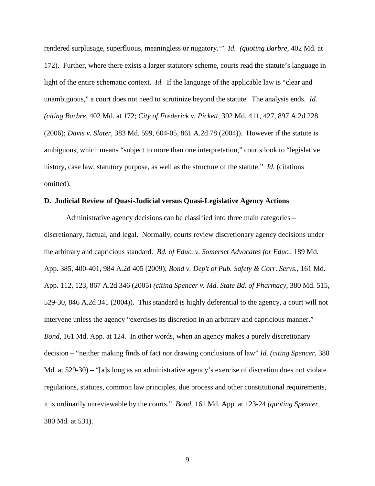rendered surplusage, superfluous, meaningless or nugatory.'" *Id. (quoting Barbre*, 402 Md. at 172). Further, where there exists a larger statutory scheme, courts read the statute's language in light of the entire schematic context. *Id.* If the language of the applicable law is "clear and unambiguous," a court does not need to scrutinize beyond the statute. The analysis ends. *Id. (citing Barbre*, 402 Md. at 172; *City of Frederick v. Pickett*, 392 Md. 411, 427, 897 A.2d 228 (2006); *Davis v. Slater*, 383 Md. 599, 604-05, 861 A.2d 78 (2004)). However if the statute is ambiguous, which means "subject to more than one interpretation," courts look to "legislative history, case law, statutory purpose, as well as the structure of the statute." *Id.* (citations omitted).

# **D. Judicial Review of Quasi-Judicial versus Quasi-Legislative Agency Actions**

Administrative agency decisions can be classified into three main categories – discretionary, factual, and legal. Normally, courts review discretionary agency decisions under the arbitrary and capricious standard. *Bd. of Educ. v. Somerset Advocates for Educ.*, 189 Md. App. 385, 400-401, 984 A.2d 405 (2009); *Bond v. Dep't of Pub. Safety & Corr. Servs.*, 161 Md. App. 112, 123, 867 A.2d 346 (2005) *(citing Spencer v. Md. State Bd. of Pharmacy*, 380 Md. 515, 529-30, 846 A.2d 341 (2004)). This standard is highly deferential to the agency, a court will not intervene unless the agency "exercises its discretion in an arbitrary and capricious manner." *Bond*, 161 Md. App. at 124. In other words, when an agency makes a purely discretionary decision – "neither making finds of fact nor drawing conclusions of law" *Id. (citing Spencer*, 380 Md. at 529-30) – "[a]s long as an administrative agency's exercise of discretion does not violate regulations, statutes, common law principles, due process and other constitutional requirements, it is ordinarily unreviewable by the courts." *Bond*, 161 Md. App. at 123-24 *(quoting Spencer*, 380 Md. at 531).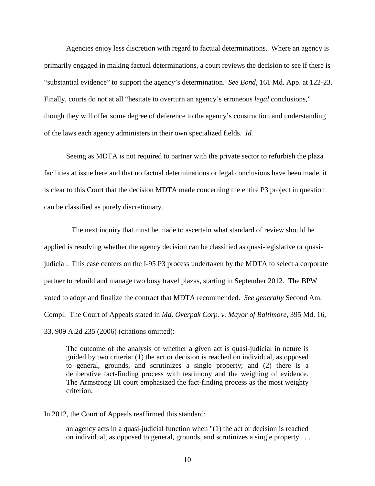Agencies enjoy less discretion with regard to factual determinations. Where an agency is primarily engaged in making factual determinations, a court reviews the decision to see if there is "substantial evidence" to support the agency's determination. *See Bond*, 161 Md. App. at 122-23. Finally, courts do not at all "hesitate to overturn an agency's erroneous *legal* conclusions," though they will offer some degree of deference to the agency's construction and understanding of the laws each agency administers in their own specialized fields. *Id.*

Seeing as MDTA is not required to partner with the private sector to refurbish the plaza facilities at issue here and that no factual determinations or legal conclusions have been made, it is clear to this Court that the decision MDTA made concerning the entire P3 project in question can be classified as purely discretionary.

The next inquiry that must be made to ascertain what standard of review should be applied is resolving whether the agency decision can be classified as quasi-legislative or quasijudicial. This case centers on the I-95 P3 process undertaken by the MDTA to select a corporate partner to rebuild and manage two busy travel plazas, starting in September 2012. The BPW voted to adopt and finalize the contract that MDTA recommended. *See generally* Second Am. Compl. The Court of Appeals stated in *Md. Overpak Corp. v. Mayor of Baltimore*, 395 Md. 16, 33, 909 A.2d 235 (2006) (citations omitted):

The outcome of the analysis of whether a given act is quasi-judicial in nature is guided by two criteria: (1) the act or decision is reached on individual, as opposed to general, grounds, and scrutinizes a single property; and (2) there is a deliberative fact-finding process with testimony and the weighing of evidence. The Armstrong III court emphasized the fact-finding process as the most weighty criterion.

In 2012, the Court of Appeals reaffirmed this standard:

an agency acts in a quasi-judicial function when "(1) the act or decision is reached on individual, as opposed to general, grounds, and scrutinizes a single property . . .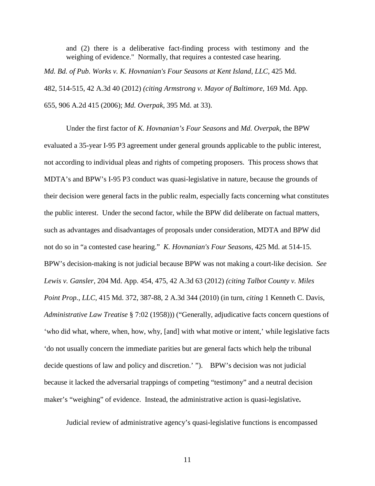and (2) there is a deliberative fact-finding process with testimony and the weighing of evidence." Normally, that requires a contested case hearing.

*Md. Bd. of Pub. Works v. K. Hovnanian's Four Seasons at Kent Island, LLC*, 425 Md. 482, 514-515, 42 A.3d 40 (2012) *(citing Armstrong v. Mayor of Baltimore*, 169 Md. App. 655, 906 A.2d 415 (2006); *Md. Overpak*, 395 Md. at 33).

Under the first factor of *K. Hovnanian's Four Seasons* and *Md. Overpak*, the BPW evaluated a 35-year I-95 P3 agreement under general grounds applicable to the public interest, not according to individual pleas and rights of competing proposers. This process shows that MDTA's and BPW's I-95 P3 conduct was quasi-legislative in nature, because the grounds of their decision were general facts in the public realm, especially facts concerning what constitutes the public interest. Under the second factor, while the BPW did deliberate on factual matters, such as advantages and disadvantages of proposals under consideration, MDTA and BPW did not do so in "a contested case hearing." *K. Hovnanian's Four Seasons*, 425 Md. at 514-15. BPW's decision-making is not judicial because BPW was not making a court-like decision. *See Lewis v. Gansler,* 204 Md. App. 454, 475, 42 A.3d 63 (2012) *(citing Talbot County v. Miles Point Prop., LLC*, 415 Md. 372, 387-88, 2 A.3d 344 (2010) (in turn, *citing* 1 Kenneth C. Davis, *Administrative Law Treatise* § 7:02 (1958))) ("Generally, adjudicative facts concern questions of 'who did what, where, when, how, why, [and] with what motive or intent,' while legislative facts 'do not usually concern the immediate parities but are general facts which help the tribunal decide questions of law and policy and discretion.' "). BPW's decision was not judicial because it lacked the adversarial trappings of competing "testimony" and a neutral decision maker's "weighing" of evidence. Instead, the administrative action is quasi-legislative**.**

Judicial review of administrative agency's quasi-legislative functions is encompassed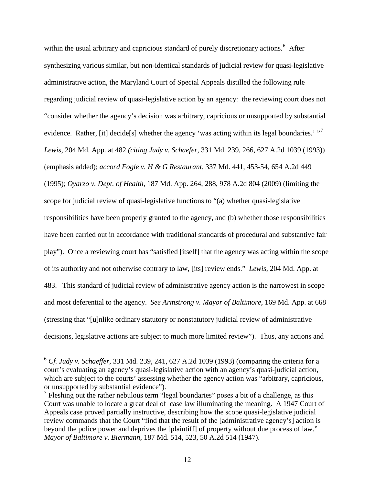within the usual arbitrary and capricious standard of purely discretionary actions.<sup>[6](#page-11-0)</sup> After synthesizing various similar, but non-identical standards of judicial review for quasi-legislative administrative action, the Maryland Court of Special Appeals distilled the following rule regarding judicial review of quasi-legislative action by an agency: the reviewing court does not "consider whether the agency's decision was arbitrary, capricious or unsupported by substantial evidence. Rather, [it] decide[s] whether the agency 'was acting within its legal boundaries.'  $\cdot$ <sup>[7](#page-11-1)</sup> *Lewis*, 204 Md. App. at 482 *(citing Judy v. Schaefer*, 331 Md. 239, 266, 627 A.2d 1039 (1993)) (emphasis added); *accord Fogle v. H & G Restaurant*, 337 Md. 441, 453-54, 654 A.2d 449 (1995); *Oyarzo v. Dept. of Health*, 187 Md. App. 264, 288, 978 A.2d 804 (2009) (limiting the scope for judicial review of quasi-legislative functions to "(a) whether quasi-legislative responsibilities have been properly granted to the agency, and (b) whether those responsibilities have been carried out in accordance with traditional standards of procedural and substantive fair play"). Once a reviewing court has "satisfied [itself] that the agency was acting within the scope of its authority and not otherwise contrary to law, [its] review ends." *Lewis*, 204 Md. App. at 483. This standard of judicial review of administrative agency action is the narrowest in scope and most deferential to the agency. *See Armstrong v. Mayor of Baltimore*, 169 Md. App. at 668 (stressing that "[u]nlike ordinary statutory or nonstatutory judicial review of administrative decisions, legislative actions are subject to much more limited review"). Thus, any actions and

<span id="page-11-0"></span><sup>6</sup> *Cf. Judy v. Schaeffer*, 331 Md. 239, 241, 627 A.2d 1039 (1993) (comparing the criteria for a court's evaluating an agency's quasi-legislative action with an agency's quasi-judicial action, which are subject to the courts' assessing whether the agency action was "arbitrary, capricious, or unsupported by substantial evidence").

<span id="page-11-1"></span> $<sup>7</sup>$  Fleshing out the rather nebulous term "legal boundaries" poses a bit of a challenge, as this</sup> Court was unable to locate a great deal of case law illuminating the meaning. A 1947 Court of Appeals case proved partially instructive, describing how the scope quasi-legislative judicial review commands that the Court "find that the result of the [administrative agency's] action is beyond the police power and deprives the [plaintiff] of property without due process of law." *Mayor of Baltimore v. Biermann*, 187 Md. 514, 523, 50 A.2d 514 (1947).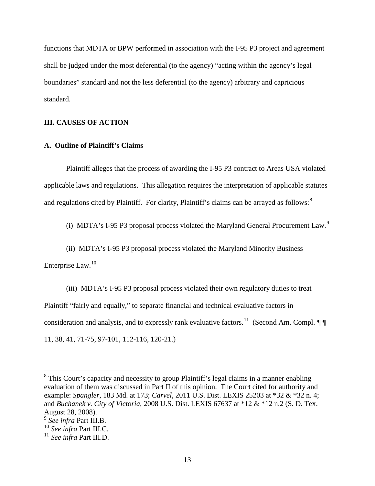functions that MDTA or BPW performed in association with the I-95 P3 project and agreement shall be judged under the most deferential (to the agency) "acting within the agency's legal boundaries" standard and not the less deferential (to the agency) arbitrary and capricious standard.

# **III. CAUSES OF ACTION**

# **A. Outline of Plaintiff's Claims**

Plaintiff alleges that the process of awarding the I-95 P3 contract to Areas USA violated applicable laws and regulations. This allegation requires the interpretation of applicable statutes and regulations cited by Plaintiff. For clarity, Plaintiff's claims can be arrayed as follows:<sup>[8](#page-12-0)</sup>

(i) MDTA's I-[9](#page-12-1)5 P3 proposal process violated the Maryland General Procurement Law.<sup>9</sup>

(ii) MDTA's I-95 P3 proposal process violated the Maryland Minority Business

Enterprise Law.<sup>[10](#page-12-2)</sup>

(iii) MDTA's I-95 P3 proposal process violated their own regulatory duties to treat Plaintiff "fairly and equally," to separate financial and technical evaluative factors in consideration and analysis, and to expressly rank evaluative factors.<sup>11</sup> (Second Am. Compl.  $\mathcal{J}\P$ 11, 38, 41, 71-75, 97-101, 112-116, 120-21.)

<span id="page-12-0"></span><sup>&</sup>lt;sup>8</sup> This Court's capacity and necessity to group Plaintiff's legal claims in a manner enabling evaluation of them was discussed in Part II of this opinion. The Court cited for authority and example: *Spangler*, 183 Md. at 173; *Carvel*, 2011 U.S. Dist. LEXIS 25203 at \*32 & \*32 n. 4; and *Buchanek v. City of Victoria*, 2008 U.S. Dist. LEXIS 67637 at \*12 & \*12 n.2 (S. D. Tex. August 28, 2008).

<span id="page-12-1"></span><sup>9</sup> *See infra* Part III.B.

<span id="page-12-2"></span><sup>10</sup> *See infra* Part III.C.

<span id="page-12-3"></span><sup>11</sup> *See infra* Part III.D.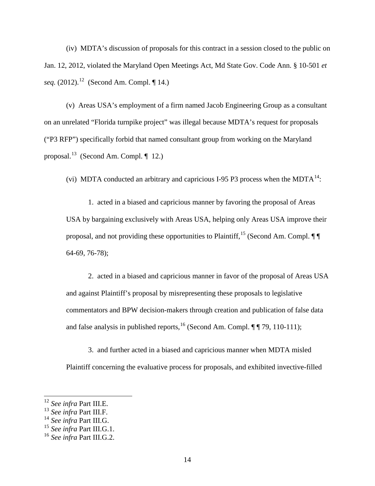(iv) MDTA's discussion of proposals for this contract in a session closed to the public on Jan. 12, 2012, violated the Maryland Open Meetings Act, Md State Gov. Code Ann. § 10-501 *et seq.* (2012).<sup>12</sup> (Second Am. Compl. ¶ 14.)

(v) Areas USA's employment of a firm named Jacob Engineering Group as a consultant on an unrelated "Florida turnpike project" was illegal because MDTA's request for proposals ("P3 RFP") specifically forbid that named consultant group from working on the Maryland proposal.<sup>[13](#page-13-1)</sup> (Second Am. Compl.  $\P$  12.)

(vi) MDTA conducted an arbitrary and capricious I-95 P3 process when the MDTA $^{14}$  $^{14}$  $^{14}$ :

1. acted in a biased and capricious manner by favoring the proposal of Areas USA by bargaining exclusively with Areas USA, helping only Areas USA improve their proposal, and not providing these opportunities to Plaintiff,<sup>[15](#page-13-3)</sup> (Second Am. Compl.  $\P$ 64-69, 76-78);

2. acted in a biased and capricious manner in favor of the proposal of Areas USA and against Plaintiff's proposal by misrepresenting these proposals to legislative commentators and BPW decision-makers through creation and publication of false data and false analysis in published reports,  $^{16}$  $^{16}$  $^{16}$  (Second Am. Compl. ¶ [ 79, 110-111);

3. and further acted in a biased and capricious manner when MDTA misled Plaintiff concerning the evaluative process for proposals, and exhibited invective-filled

<span id="page-13-0"></span><sup>12</sup> *See infra* Part III.E.

<span id="page-13-1"></span><sup>13</sup> *See infra* Part III.F.

<span id="page-13-2"></span><sup>14</sup> *See infra* Part III.G.

<span id="page-13-3"></span><sup>15</sup> *See infra* Part III.G.1.

<span id="page-13-4"></span><sup>16</sup> *See infra* Part III.G.2.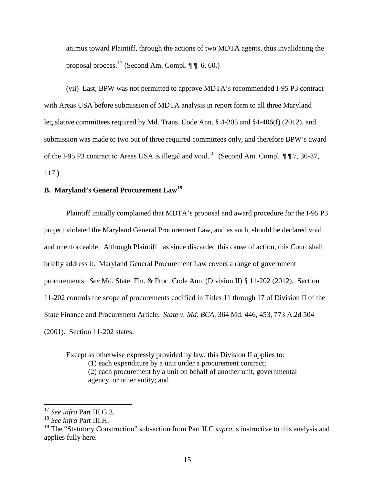animus toward Plaintiff, through the actions of two MDTA agents, thus invalidating the proposal process.<sup>[17](#page-14-0)</sup> (Second Am. Compl.  $\P\P$  6, 60.)

(vii) Last, BPW was not permitted to approve MDTA's recommended I-95 P3 contract with Areas USA before submission of MDTA analysis in report form to all three Maryland legislative committees required by Md. Trans. Code Ann. § 4-205 and §4-406(f) (2012), and submission was made to two out of three required committees only, and therefore BPW's award of the I-95 P3 contract to Areas USA is illegal and void.<sup>18</sup> (Second Am. Compl.  $\P$   $\P$  7, 36-37, 117.)

# **B. Maryland's General Procurement Law[19](#page-14-2)**

Plaintiff initially complained that MDTA's proposal and award procedure for the I-95 P3 project violated the Maryland General Procurement Law, and as such, should be declared void and unenforceable. Although Plaintiff has since discarded this cause of action, this Court shall briefly address it. Maryland General Procurement Law covers a range of government procurements. *See* Md. State Fin. & Proc. Code Ann. (Division II) § 11-202 (2012). Section 11-202 controls the scope of procurements codified in Titles 11 through 17 of Division II of the State Finance and Procurement Article. *State v. Md. BCA*, 364 Md. 446, 453, 773 A.2d 504 (2001). Section 11-202 states:

Except as otherwise expressly provided by law, this Division II applies to: (1) each expenditure by a unit under a procurement contract; (2) each procurement by a unit on behalf of another unit, governmental agency, or other entity; and

<span id="page-14-0"></span><sup>17</sup> *See infra* Part III.G.3.

<span id="page-14-1"></span><sup>18</sup> *See infra* Part III.H.

<span id="page-14-2"></span><sup>&</sup>lt;sup>19</sup> The "Statutory Construction" subsection from Part II.C *supra* is instructive to this analysis and applies fully here.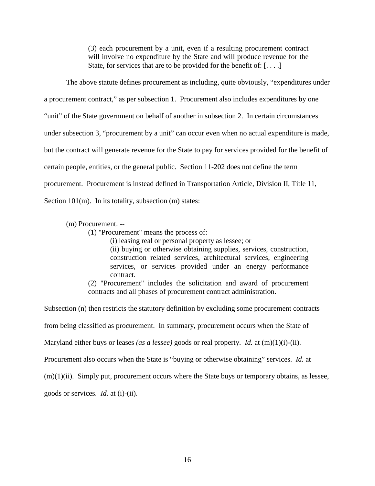(3) each procurement by a unit, even if a resulting procurement contract will involve no expenditure by the State and will produce revenue for the State, for services that are to be provided for the benefit of:  $[\dots]$ 

The above statute defines procurement as including, quite obviously, "expenditures under a procurement contract," as per subsection 1. Procurement also includes expenditures by one "unit" of the State government on behalf of another in subsection 2. In certain circumstances under subsection 3, "procurement by a unit" can occur even when no actual expenditure is made, but the contract will generate revenue for the State to pay for services provided for the benefit of certain people, entities, or the general public. Section 11-202 does not define the term procurement. Procurement is instead defined in Transportation Article, Division II, Title 11, Section 101(m). In its totality, subsection (m) states:

# (m) Procurement. --

(1) "Procurement" means the process of:

(i) leasing real or personal property as lessee; or

(ii) buying or otherwise obtaining supplies, services, construction, construction related services, architectural services, engineering services, or services provided under an energy performance contract.

(2) "Procurement" includes the solicitation and award of procurement contracts and all phases of procurement contract administration.

Subsection (n) then restricts the statutory definition by excluding some procurement contracts from being classified as procurement. In summary, procurement occurs when the State of Maryland either buys or leases *(as a lessee)* goods or real property. *Id.* at (m)(1)(i)-(ii). Procurement also occurs when the State is "buying or otherwise obtaining" services. *Id.* at  $(m)(1)(ii)$ . Simply put, procurement occurs where the State buys or temporary obtains, as lessee, goods or services. *Id*. at (i)-(ii).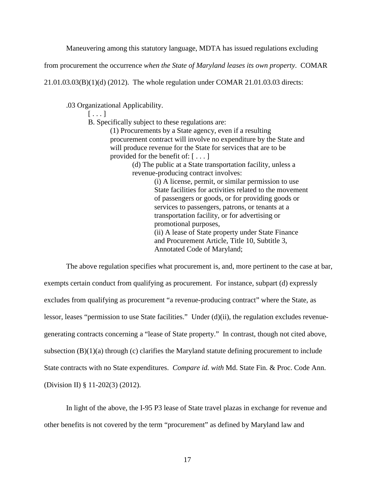Maneuvering among this statutory language, MDTA has issued regulations excluding

from procurement the occurrence *when the State of Maryland leases its own property*. COMAR

21.01.03.03(B)(1)(d) (2012). The whole regulation under COMAR 21.01.03.03 directs:

.03 Organizational Applicability.

 $[\ldots]$ 

B. Specifically subject to these regulations are:

(1) Procurements by a State agency, even if a resulting procurement contract will involve no expenditure by the State and will produce revenue for the State for services that are to be provided for the benefit of: [ . . . ]

> (d) The public at a State transportation facility, unless a revenue-producing contract involves:

> > (i) A license, permit, or similar permission to use State facilities for activities related to the movement of passengers or goods, or for providing goods or services to passengers, patrons, or tenants at a transportation facility, or for advertising or promotional purposes, (ii) A lease of State property under State Finance and Procurement Article, Title 10, Subtitle 3, Annotated Code of Maryland;

The above regulation specifies what procurement is, and, more pertinent to the case at bar, exempts certain conduct from qualifying as procurement. For instance, subpart (d) expressly excludes from qualifying as procurement "a revenue-producing contract" where the State, as lessor, leases "permission to use State facilities." Under (d)(ii), the regulation excludes revenuegenerating contracts concerning a "lease of State property." In contrast, though not cited above, subsection  $(B)(1)(a)$  through  $(c)$  clarifies the Maryland statute defining procurement to include State contracts with no State expenditures. *Compare id. with* Md. State Fin. & Proc. Code Ann. (Division II) § 11-202(3) (2012).

In light of the above, the I-95 P3 lease of State travel plazas in exchange for revenue and other benefits is not covered by the term "procurement" as defined by Maryland law and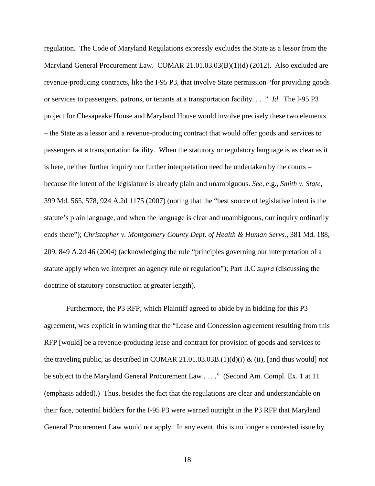regulation. The Code of Maryland Regulations expressly excludes the State as a lessor from the Maryland General Procurement Law. COMAR 21.01.03.03(B)(1)(d) (2012). Also excluded are revenue-producing contracts, like the I-95 P3, that involve State permission "for providing goods or services to passengers, patrons, or tenants at a transportation facility. . . ." *Id*. The I-95 P3 project for Chesapeake House and Maryland House would involve precisely these two elements – the State as a lessor and a revenue-producing contract that would offer goods and services to passengers at a transportation facility. When the statutory or regulatory language is as clear as it is here, neither further inquiry nor further interpretation need be undertaken by the courts – because the intent of the legislature is already plain and unambiguous. *See,* e.g., *Smith v. State*, 399 Md. 565, 578, 924 A.2d 1175 (2007) (noting that the "best source of legislative intent is the statute's plain language, and when the language is clear and unambiguous, our inquiry ordinarily ends there"); *Christopher v. Montgomery County Dept. of Health & Human Servs.*, 381 Md. 188, 209, 849 A.2d 46 (2004) (acknowledging the rule "principles governing our interpretation of a statute apply when we interpret an agency rule or regulation"); Part II.C *supra* (discussing the doctrine of statutory construction at greater length).

Furthermore, the P3 RFP, which Plaintiff agreed to abide by in bidding for this P3 agreement, was explicit in warning that the "Lease and Concession agreement resulting from this RFP [would] be a revenue-producing lease and contract for provision of goods and services to the traveling public, as described in COMAR 21.01.03.03B.(1)(d)(i) & (ii), [and thus would] *not* be subject to the Maryland General Procurement Law . . . ." (Second Am. Compl. Ex. 1 at 11 (emphasis added).) Thus, besides the fact that the regulations are clear and understandable on their face, potential bidders for the I-95 P3 were warned outright in the P3 RFP that Maryland General Procurement Law would not apply. In any event, this is no longer a contested issue by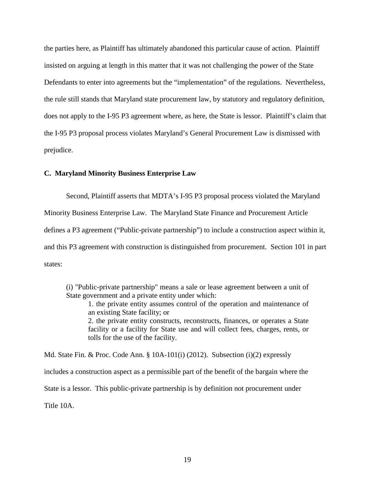the parties here, as Plaintiff has ultimately abandoned this particular cause of action. Plaintiff insisted on arguing at length in this matter that it was not challenging the power of the State Defendants to enter into agreements but the "implementation" of the regulations. Nevertheless, the rule still stands that Maryland state procurement law, by statutory and regulatory definition, does not apply to the I-95 P3 agreement where, as here, the State is lessor. Plaintiff's claim that the I-95 P3 proposal process violates Maryland's General Procurement Law is dismissed with prejudice.

# **C. Maryland Minority Business Enterprise Law**

Second, Plaintiff asserts that MDTA's I-95 P3 proposal process violated the Maryland Minority Business Enterprise Law. The Maryland State Finance and Procurement Article defines a P3 agreement ("Public-private partnership") to include a construction aspect within it,

and this P3 agreement with construction is distinguished from procurement. Section 101 in part states:

(i) "Public-private partnership" means a sale or lease agreement between a unit of State government and a private entity under which:

1. the private entity assumes control of the operation and maintenance of an existing State facility; or

2. the private entity constructs, reconstructs, finances, or operates a State facility or a facility for State use and will collect fees, charges, rents, or tolls for the use of the facility.

Md. State Fin. & Proc. Code Ann. §  $10A-101(i)$  (2012). Subsection (i)(2) expressly includes a construction aspect as a permissible part of the benefit of the bargain where the State is a lessor. This public-private partnership is by definition not procurement under Title 10A.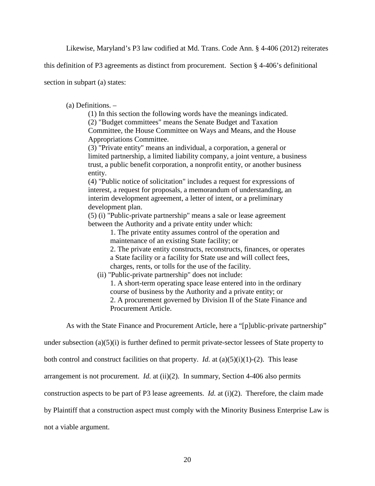Likewise, Maryland's P3 law codified at Md. Trans. Code Ann. § 4-406 (2012) reiterates

this definition of P3 agreements as distinct from procurement. Section § 4-406's definitional

section in subpart (a) states:

(a) Definitions. –

(1) In this section the following words have the meanings indicated.

(2) "Budget committees" means the Senate Budget and Taxation Committee, the House Committee on Ways and Means, and the House Appropriations Committee.

(3) "Private entity" means an individual, a corporation, a general or limited partnership, a limited liability company, a joint venture, a business trust, a public benefit corporation, a nonprofit entity, or another business entity.

(4) "Public notice of solicitation" includes a request for expressions of interest, a request for proposals, a memorandum of understanding, an interim development agreement, a letter of intent, or a preliminary development plan.

(5) (i) "Public-private partnership" means a sale or lease agreement between the Authority and a private entity under which:

1. The private entity assumes control of the operation and maintenance of an existing State facility; or

2. The private entity constructs, reconstructs, finances, or operates a State facility or a facility for State use and will collect fees, charges, rents, or tolls for the use of the facility.

(ii) "Public-private partnership" does not include:

1. A short-term operating space lease entered into in the ordinary course of business by the Authority and a private entity; or 2. A procurement governed by Division II of the State Finance and Procurement Article.

As with the State Finance and Procurement Article, here a "[p]ublic-private partnership"

under subsection (a)(5)(i) is further defined to permit private-sector lessees of State property to

both control and construct facilities on that property. *Id.* at  $(a)(5)(i)(1)-(2)$ . This lease

arrangement is not procurement. *Id.* at (ii)(2). In summary, Section 4-406 also permits

construction aspects to be part of P3 lease agreements. *Id.* at (i)(2). Therefore, the claim made

by Plaintiff that a construction aspect must comply with the Minority Business Enterprise Law is

not a viable argument.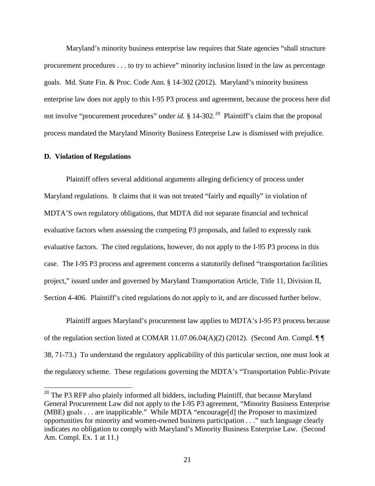Maryland's minority business enterprise law requires that State agencies "shall structure procurement procedures . . . to try to achieve" minority inclusion listed in the law as percentage goals. Md. State Fin. & Proc. Code Ann. § 14-302 (2012). Maryland's minority business enterprise law does not apply to this I-95 P3 process and agreement, because the process here did not involve "procurement procedures" under *id.*  $\S$  14-302.<sup>20</sup> Plaintiff's claim that the proposal process mandated the Maryland Minority Business Enterprise Law is dismissed with prejudice.

# **D. Violation of Regulations**

Plaintiff offers several additional arguments alleging deficiency of process under Maryland regulations. It claims that it was not treated "fairly and equally" in violation of MDTA'S own regulatory obligations, that MDTA did not separate financial and technical evaluative factors when assessing the competing P3 proposals, and failed to expressly rank evaluative factors. The cited regulations, however, do not apply to the I-95 P3 process in this case. The I-95 P3 process and agreement concerns a statutorily defined "transportation facilities project," issued under and governed by Maryland Transportation Article, Title 11, Division II, Section 4-406. Plaintiff's cited regulations do not apply to it, and are discussed further below.

Plaintiff argues Maryland's procurement law applies to MDTA's I-95 P3 process because of the regulation section listed at COMAR 11.07.06.04(A)(2) (2012). (Second Am. Compl. ¶ ¶ 38, 71-73.) To understand the regulatory applicability of this particular section, one must look at the regulatory scheme. These regulations governing the MDTA's "Transportation Public-Private

<span id="page-20-0"></span> $20$  The P3 RFP also plainly informed all bidders, including Plaintiff, that because Maryland General Procurement Law did not apply to the I-95 P3 agreement, "Minority Business Enterprise (MBE) goals . . . are inapplicable." While MDTA "encourage[d] the Proposer to maximized opportunities for minority and women-owned business participation . . ." such language clearly indicates *no* obligation to comply with Maryland's Minority Business Enterprise Law. (Second Am. Compl. Ex. 1 at 11.)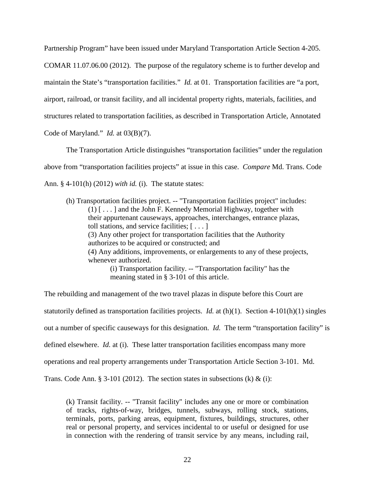Partnership Program" have been issued under Maryland Transportation Article Section 4-205. COMAR 11.07.06.00 (2012). The purpose of the regulatory scheme is to further develop and maintain the State's "transportation facilities." *Id.* at 01. Transportation facilities are "a port, airport, railroad, or transit facility, and all incidental property rights, materials, facilities, and structures related to transportation facilities, as described in Transportation Article, Annotated Code of Maryland." *Id.* at 03(B)(7).

The Transportation Article distinguishes "transportation facilities" under the regulation above from "transportation facilities projects" at issue in this case. *Compare* Md. Trans. Code Ann. § 4-101(h) (2012) *with id.* (i). The statute states:

(h) Transportation facilities project. -- "Transportation facilities project" includes: (1) [ . . . ] and the John F. Kennedy Memorial Highway, together with their appurtenant causeways, approaches, interchanges, entrance plazas, toll stations, and service facilities; [ . . . ] (3) Any other project for transportation facilities that the Authority authorizes to be acquired or constructed; and (4) Any additions, improvements, or enlargements to any of these projects, whenever authorized. (i) Transportation facility. -- "Transportation facility" has the meaning stated in § 3-101 of this article.

The rebuilding and management of the two travel plazas in dispute before this Court are statutorily defined as transportation facilities projects. *Id.* at (h)(1). Section 4-101(h)(1) singles out a number of specific causeways for this designation. *Id.* The term "transportation facility" is defined elsewhere. *Id.* at (i). These latter transportation facilities encompass many more operations and real property arrangements under Transportation Article Section 3-101. Md. Trans. Code Ann. § 3-101 (2012). The section states in subsections (k)  $\&$  (i):

(k) Transit facility. -- "Transit facility" includes any one or more or combination of tracks, rights-of-way, bridges, tunnels, subways, rolling stock, stations, terminals, ports, parking areas, equipment, fixtures, buildings, structures, other real or personal property, and services incidental to or useful or designed for use in connection with the rendering of transit service by any means, including rail,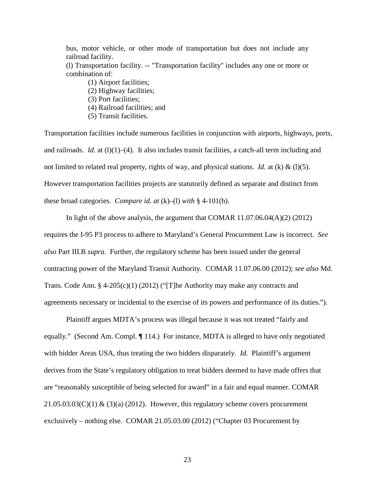bus, motor vehicle, or other mode of transportation but does not include any railroad facility.

(l) Transportation facility. -- "Transportation facility" includes any one or more or combination of:

(1) Airport facilities; (2) Highway facilities; (3) Port facilities; (4) Railroad facilities; and (5) Transit facilities.

Transportation facilities include numerous facilities in conjunction with airports, highways, ports, and railroads. *Id.* at (1)(1)–(4). It also includes transit facilities, a catch-all term including and not limited to related real property, rights of way, and physical stations. *Id.* at (k) & (l)(5). However transportation facilities projects are statutorily defined as separate and distinct from these broad categories. *Compare id. at* (k)–(l) *with* § 4-101(h).

In light of the above analysis, the argument that COMAR 11.07.06.04(A)(2) (2012) requires the I-95 P3 process to adhere to Maryland's General Procurement Law is incorrect. *See also* Part III.B *supra*. Further, the regulatory scheme has been issued under the general contracting power of the Maryland Transit Authority. COMAR 11.07.06.00 (2012); *see also* Md. Trans. Code Ann. § 4-205(c)(1) (2012) ("[T]he Authority may make any contracts and agreements necessary or incidental to the exercise of its powers and performance of its duties.").

Plaintiff argues MDTA's process was illegal because it was not treated "fairly and equally." (Second Am. Compl. *¶* 114.) For instance, MDTA is alleged to have only negotiated with bidder Areas USA, thus treating the two bidders disparately. *Id.* Plaintiff's argument derives from the State's regulatory obligation to treat bidders deemed to have made offers that are "reasonably susceptible of being selected for award" in a fair and equal manner. COMAR  $21.05.03.03(C)(1)$  &  $(3)(a)$  (2012). However, this regulatory scheme covers procurement exclusively – nothing else. COMAR 21.05.03.00 (2012) ("Chapter 03 Procurement by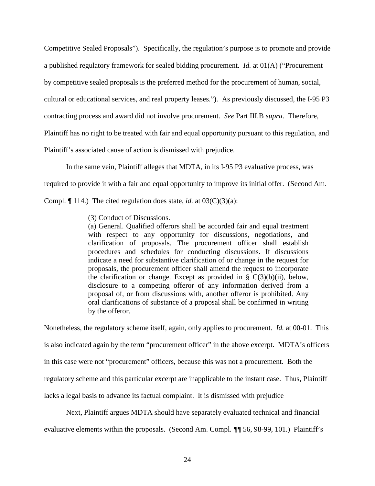Competitive Sealed Proposals"). Specifically, the regulation's purpose is to promote and provide a published regulatory framework for sealed bidding procurement. *Id.* at 01(A) ("Procurement by competitive sealed proposals is the preferred method for the procurement of human, social, cultural or educational services, and real property leases."). As previously discussed, the I-95 P3 contracting process and award did not involve procurement. *See* Part III.B *supra*. Therefore, Plaintiff has no right to be treated with fair and equal opportunity pursuant to this regulation, and Plaintiff's associated cause of action is dismissed with prejudice.

In the same vein, Plaintiff alleges that MDTA, in its I-95 P3 evaluative process, was

required to provide it with a fair and equal opportunity to improve its initial offer. (Second Am.

Compl. *¶* 114.) The cited regulation does state, *id.* at 03(C)(3)(a):

(3) Conduct of Discussions.

(a) General. Qualified offerors shall be accorded fair and equal treatment with respect to any opportunity for discussions, negotiations, and clarification of proposals. The procurement officer shall establish procedures and schedules for conducting discussions. If discussions indicate a need for substantive clarification of or change in the request for proposals, the procurement officer shall amend the request to incorporate the clarification or change. Except as provided in  $\S$  C(3)(b)(ii), below, disclosure to a competing offeror of any information derived from a proposal of, or from discussions with, another offeror is prohibited. Any oral clarifications of substance of a proposal shall be confirmed in writing by the offeror.

Nonetheless, the regulatory scheme itself, again, only applies to procurement. *Id.* at 00-01. This is also indicated again by the term "procurement officer" in the above excerpt. MDTA's officers in this case were not "procurement" officers, because this was not a procurement. Both the regulatory scheme and this particular excerpt are inapplicable to the instant case. Thus, Plaintiff lacks a legal basis to advance its factual complaint. It is dismissed with prejudice

Next, Plaintiff argues MDTA should have separately evaluated technical and financial evaluative elements within the proposals. (Second Am. Compl. *¶¶* 56, 98-99, 101.) Plaintiff's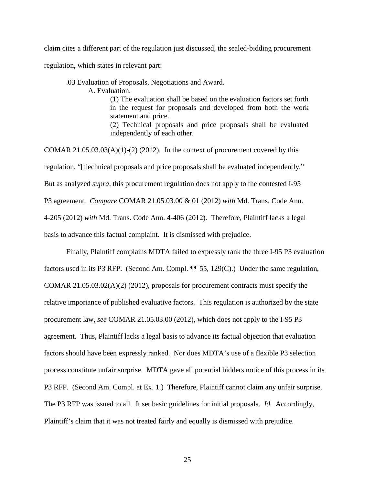claim cites a different part of the regulation just discussed, the sealed-bidding procurement regulation, which states in relevant part:

.03 Evaluation of Proposals, Negotiations and Award.

A. Evaluation.

(1) The evaluation shall be based on the evaluation factors set forth in the request for proposals and developed from both the work statement and price.

(2) Technical proposals and price proposals shall be evaluated independently of each other.

COMAR  $21.05.03.03(A)(1)-(2)(2012)$ . In the context of procurement covered by this regulation, "[t]echnical proposals and price proposals shall be evaluated independently." But as analyzed *supra*, this procurement regulation does not apply to the contested I-95 P3 agreement. *Compare* COMAR 21.05.03.00 & 01 (2012) *with* Md. Trans. Code Ann. 4-205 (2012) *with* Md. Trans. Code Ann. 4-406 (2012). Therefore, Plaintiff lacks a legal basis to advance this factual complaint. It is dismissed with prejudice.

Finally, Plaintiff complains MDTA failed to expressly rank the three I-95 P3 evaluation factors used in its P3 RFP. (Second Am. Compl. *¶¶* 55, 129(C).) Under the same regulation, COMAR  $21.05.03.02(A)(2)$  (2012), proposals for procurement contracts must specify the relative importance of published evaluative factors. This regulation is authorized by the state procurement law, *see* COMAR 21.05.03.00 (2012), which does not apply to the I-95 P3 agreement. Thus, Plaintiff lacks a legal basis to advance its factual objection that evaluation factors should have been expressly ranked. Nor does MDTA's use of a flexible P3 selection process constitute unfair surprise. MDTA gave all potential bidders notice of this process in its P3 RFP. (Second Am. Compl. at Ex. 1.) Therefore, Plaintiff cannot claim any unfair surprise. The P3 RFP was issued to all. It set basic guidelines for initial proposals. *Id.* Accordingly, Plaintiff's claim that it was not treated fairly and equally is dismissed with prejudice.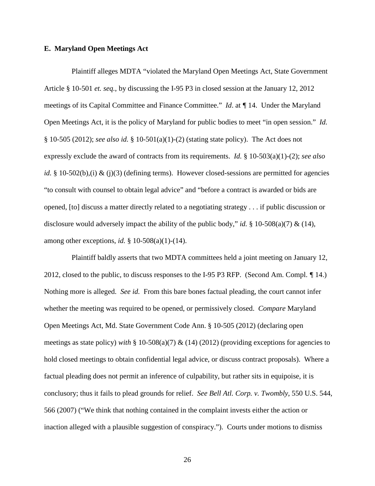# **E. Maryland Open Meetings Act**

Plaintiff alleges MDTA "violated the Maryland Open Meetings Act, State Government Article § 10-501 *et. seq.*, by discussing the I-95 P3 in closed session at the January 12, 2012 meetings of its Capital Committee and Finance Committee." *Id*. at *¶* 14. Under the Maryland Open Meetings Act, it is the policy of Maryland for public bodies to meet "in open session." *Id.* § 10-505 (2012); *see also id.* § 10-501(a)(1)-(2) (stating state policy). The Act does not expressly exclude the award of contracts from its requirements. *Id.* § 10-503(a)(1)-(2); *see also id.* § 10-502(b),(i) & (j)(3) (defining terms). However closed-sessions are permitted for agencies "to consult with counsel to obtain legal advice" and "before a contract is awarded or bids are opened, [to] discuss a matter directly related to a negotiating strategy . . . if public discussion or disclosure would adversely impact the ability of the public body," *id.* § 10-508(a)(7) & (14), among other exceptions, *id.* § 10-508(a)(1)-(14).

Plaintiff baldly asserts that two MDTA committees held a joint meeting on January 12, 2012, closed to the public, to discuss responses to the I-95 P3 RFP. (Second Am. Compl. *¶* 14.) Nothing more is alleged. *See id.* From this bare bones factual pleading, the court cannot infer whether the meeting was required to be opened, or permissively closed. *Compare* Maryland Open Meetings Act, Md. State Government Code Ann. § 10-505 (2012) (declaring open meetings as state policy) *with* § 10-508(a)(7) & (14) (2012) (providing exceptions for agencies to hold closed meetings to obtain confidential legal advice, or discuss contract proposals). Where a factual pleading does not permit an inference of culpability, but rather sits in equipoise, it is conclusory; thus it fails to plead grounds for relief. *See Bell Atl. Corp. v. Twombly*, 550 U.S. 544, 566 (2007) ("We think that nothing contained in the complaint invests either the action or inaction alleged with a plausible suggestion of conspiracy."). Courts under motions to dismiss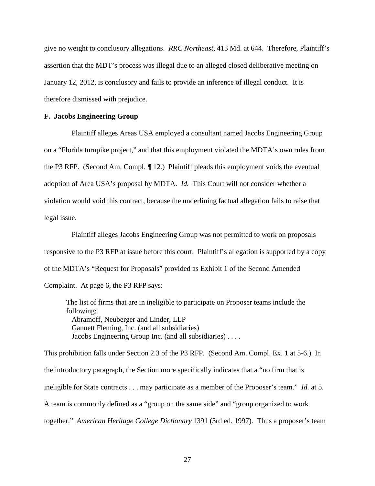give no weight to conclusory allegations. *RRC Northeast*, 413 Md. at 644. Therefore, Plaintiff's assertion that the MDT's process was illegal due to an alleged closed deliberative meeting on January 12, 2012, is conclusory and fails to provide an inference of illegal conduct. It is therefore dismissed with prejudice.

#### **F. Jacobs Engineering Group**

Plaintiff alleges Areas USA employed a consultant named Jacobs Engineering Group on a "Florida turnpike project," and that this employment violated the MDTA's own rules from the P3 RFP. (Second Am. Compl. *¶* 12.) Plaintiff pleads this employment voids the eventual adoption of Area USA's proposal by MDTA. *Id.* This Court will not consider whether a violation would void this contract, because the underlining factual allegation fails to raise that legal issue.

Plaintiff alleges Jacobs Engineering Group was not permitted to work on proposals responsive to the P3 RFP at issue before this court. Plaintiff's allegation is supported by a copy of the MDTA's "Request for Proposals" provided as Exhibit 1 of the Second Amended Complaint. At page 6, the P3 RFP says:

The list of firms that are in ineligible to participate on Proposer teams include the following: Abramoff, Neuberger and Linder, LLP Gannett Fleming, Inc. (and all subsidiaries) Jacobs Engineering Group Inc. (and all subsidiaries) . . . .

This prohibition falls under Section 2.3 of the P3 RFP. (Second Am. Compl. Ex. 1 at 5-6.) In the introductory paragraph, the Section more specifically indicates that a "no firm that is ineligible for State contracts . . . may participate as a member of the Proposer's team." *Id.* at 5. A team is commonly defined as a "group on the same side" and "group organized to work together." *American Heritage College Dictionary* 1391 (3rd ed. 1997). Thus a proposer's team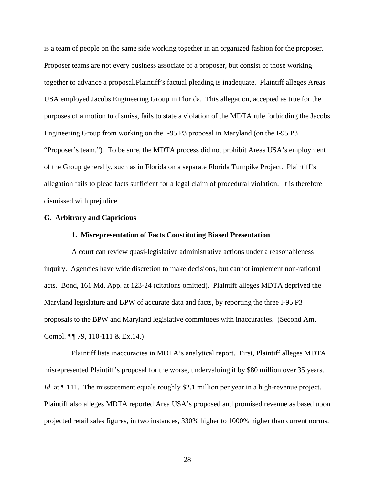is a team of people on the same side working together in an organized fashion for the proposer. Proposer teams are not every business associate of a proposer, but consist of those working together to advance a proposal.Plaintiff's factual pleading is inadequate. Plaintiff alleges Areas USA employed Jacobs Engineering Group in Florida. This allegation, accepted as true for the purposes of a motion to dismiss, fails to state a violation of the MDTA rule forbidding the Jacobs Engineering Group from working on the I-95 P3 proposal in Maryland (on the I-95 P3 "Proposer's team."). To be sure, the MDTA process did not prohibit Areas USA's employment of the Group generally, such as in Florida on a separate Florida Turnpike Project. Plaintiff's allegation fails to plead facts sufficient for a legal claim of procedural violation. It is therefore dismissed with prejudice.

# **G. Arbitrary and Capricious**

#### **1. Misrepresentation of Facts Constituting Biased Presentation**

A court can review quasi-legislative administrative actions under a reasonableness inquiry. Agencies have wide discretion to make decisions, but cannot implement non-rational acts. Bond, 161 Md. App. at 123-24 (citations omitted). Plaintiff alleges MDTA deprived the Maryland legislature and BPW of accurate data and facts, by reporting the three I-95 P3 proposals to the BPW and Maryland legislative committees with inaccuracies. (Second Am. Compl. *¶¶* 79, 110-111 & Ex.14.)

Plaintiff lists inaccuracies in MDTA's analytical report. First, Plaintiff alleges MDTA misrepresented Plaintiff's proposal for the worse, undervaluing it by \$80 million over 35 years. *Id.* at  $\sqrt{\frac{1}{11}}$ . The misstatement equals roughly \$2.1 million per year in a high-revenue project. Plaintiff also alleges MDTA reported Area USA's proposed and promised revenue as based upon projected retail sales figures, in two instances, 330% higher to 1000% higher than current norms.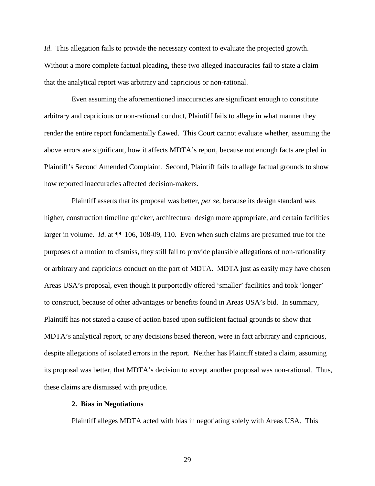*Id*. This allegation fails to provide the necessary context to evaluate the projected growth. Without a more complete factual pleading, these two alleged inaccuracies fail to state a claim that the analytical report was arbitrary and capricious or non-rational.

Even assuming the aforementioned inaccuracies are significant enough to constitute arbitrary and capricious or non-rational conduct, Plaintiff fails to allege in what manner they render the entire report fundamentally flawed. This Court cannot evaluate whether, assuming the above errors are significant, how it affects MDTA's report, because not enough facts are pled in Plaintiff's Second Amended Complaint. Second, Plaintiff fails to allege factual grounds to show how reported inaccuracies affected decision-makers.

Plaintiff asserts that its proposal was better, *per se*, because its design standard was higher, construction timeline quicker, architectural design more appropriate, and certain facilities larger in volume. *Id*. at *¶¶* 106, 108-09, 110. Even when such claims are presumed true for the purposes of a motion to dismiss, they still fail to provide plausible allegations of non-rationality or arbitrary and capricious conduct on the part of MDTA. MDTA just as easily may have chosen Areas USA's proposal, even though it purportedly offered 'smaller' facilities and took 'longer' to construct, because of other advantages or benefits found in Areas USA's bid. In summary, Plaintiff has not stated a cause of action based upon sufficient factual grounds to show that MDTA's analytical report, or any decisions based thereon, were in fact arbitrary and capricious, despite allegations of isolated errors in the report. Neither has Plaintiff stated a claim, assuming its proposal was better, that MDTA's decision to accept another proposal was non-rational. Thus, these claims are dismissed with prejudice.

# **2. Bias in Negotiations**

Plaintiff alleges MDTA acted with bias in negotiating solely with Areas USA. This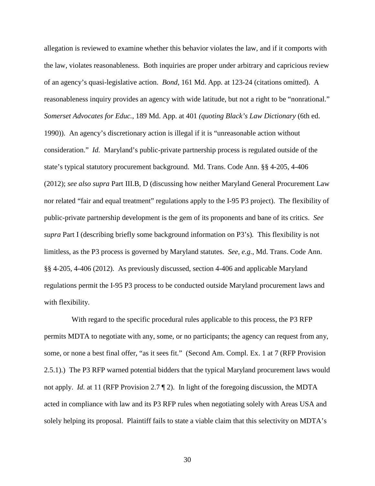allegation is reviewed to examine whether this behavior violates the law, and if it comports with the law, violates reasonableness. Both inquiries are proper under arbitrary and capricious review of an agency's quasi-legislative action. *Bond*, 161 Md. App. at 123-24 (citations omitted). A reasonableness inquiry provides an agency with wide latitude, but not a right to be "nonrational." *Somerset Advocates for Educ.*, 189 Md. App. at 401 *(quoting Black's Law Dictionary* (6th ed. 1990)). An agency's discretionary action is illegal if it is "unreasonable action without consideration." *Id.* Maryland's public-private partnership process is regulated outside of the state's typical statutory procurement background. Md. Trans. Code Ann. §§ 4-205, 4-406 (2012); *see also supra* Part III.B, D (discussing how neither Maryland General Procurement Law nor related "fair and equal treatment" regulations apply to the I-95 P3 project). The flexibility of public-private partnership development is the gem of its proponents and bane of its critics. *See supra* Part I (describing briefly some background information on P3's)*.* This flexibility is not limitless, as the P3 process is governed by Maryland statutes. *See, e.g.*, Md. Trans. Code Ann. §§ 4-205, 4-406 (2012). As previously discussed, section 4-406 and applicable Maryland regulations permit the I-95 P3 process to be conducted outside Maryland procurement laws and with flexibility.

With regard to the specific procedural rules applicable to this process, the P3 RFP permits MDTA to negotiate with any, some, or no participants; the agency can request from any, some, or none a best final offer, "as it sees fit." (Second Am. Compl. Ex. 1 at 7 (RFP Provision 2.5.1).) The P3 RFP warned potential bidders that the typical Maryland procurement laws would not apply. *Id.* at 11 (RFP Provision 2.7 ¶ 2). In light of the foregoing discussion, the MDTA acted in compliance with law and its P3 RFP rules when negotiating solely with Areas USA and solely helping its proposal. Plaintiff fails to state a viable claim that this selectivity on MDTA's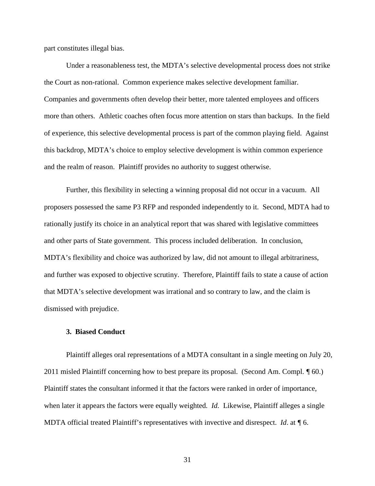part constitutes illegal bias.

Under a reasonableness test, the MDTA's selective developmental process does not strike the Court as non-rational. Common experience makes selective development familiar. Companies and governments often develop their better, more talented employees and officers more than others. Athletic coaches often focus more attention on stars than backups. In the field of experience, this selective developmental process is part of the common playing field. Against this backdrop, MDTA's choice to employ selective development is within common experience and the realm of reason. Plaintiff provides no authority to suggest otherwise.

Further, this flexibility in selecting a winning proposal did not occur in a vacuum. All proposers possessed the same P3 RFP and responded independently to it. Second, MDTA had to rationally justify its choice in an analytical report that was shared with legislative committees and other parts of State government. This process included deliberation. In conclusion, MDTA's flexibility and choice was authorized by law, did not amount to illegal arbitrariness, and further was exposed to objective scrutiny. Therefore, Plaintiff fails to state a cause of action that MDTA's selective development was irrational and so contrary to law, and the claim is dismissed with prejudice.

# **3. Biased Conduct**

Plaintiff alleges oral representations of a MDTA consultant in a single meeting on July 20, 2011 misled Plaintiff concerning how to best prepare its proposal. (Second Am. Compl. *¶* 60.) Plaintiff states the consultant informed it that the factors were ranked in order of importance, when later it appears the factors were equally weighted*. Id.* Likewise, Plaintiff alleges a single MDTA official treated Plaintiff's representatives with invective and disrespect. *Id*. at *¶* 6.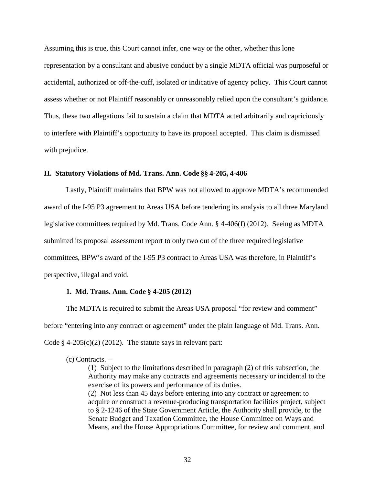Assuming this is true, this Court cannot infer, one way or the other, whether this lone representation by a consultant and abusive conduct by a single MDTA official was purposeful or accidental, authorized or off-the-cuff, isolated or indicative of agency policy. This Court cannot assess whether or not Plaintiff reasonably or unreasonably relied upon the consultant's guidance. Thus, these two allegations fail to sustain a claim that MDTA acted arbitrarily and capriciously to interfere with Plaintiff's opportunity to have its proposal accepted. This claim is dismissed with prejudice.

# **H. Statutory Violations of Md. Trans. Ann. Code §§ 4-205, 4-406**

Lastly, Plaintiff maintains that BPW was not allowed to approve MDTA's recommended award of the I-95 P3 agreement to Areas USA before tendering its analysis to all three Maryland legislative committees required by Md. Trans. Code Ann. § 4-406(f) (2012). Seeing as MDTA submitted its proposal assessment report to only two out of the three required legislative committees, BPW's award of the I-95 P3 contract to Areas USA was therefore, in Plaintiff's perspective, illegal and void.

### **1. Md. Trans. Ann. Code § 4-205 (2012)**

The MDTA is required to submit the Areas USA proposal "for review and comment" before "entering into any contract or agreement" under the plain language of Md. Trans. Ann. Code  $\S$  4-205(c)(2) (2012). The statute says in relevant part:

(c) Contracts. –

(1) Subject to the limitations described in paragraph (2) of this subsection, the Authority may make any contracts and agreements necessary or incidental to the exercise of its powers and performance of its duties.

(2) Not less than 45 days before entering into any contract or agreement to acquire or construct a revenue-producing transportation facilities project, subject to § 2-1246 of the State Government Article, the Authority shall provide, to the Senate Budget and Taxation Committee, the House Committee on Ways and Means, and the House Appropriations Committee, for review and comment, and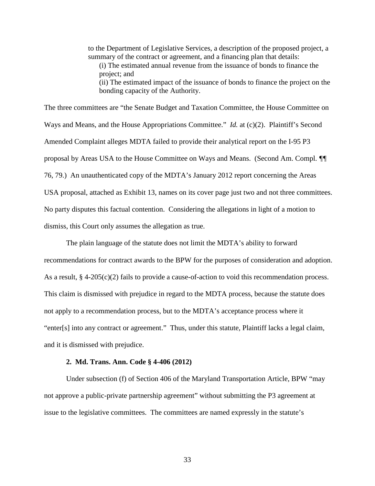to the Department of Legislative Services, a description of the proposed project, a summary of the contract or agreement, and a financing plan that details: (i) The estimated annual revenue from the issuance of bonds to finance the project; and (ii) The estimated impact of the issuance of bonds to finance the project on the bonding capacity of the Authority.

The three committees are "the Senate Budget and Taxation Committee, the House Committee on Ways and Means, and the House Appropriations Committee." *Id.* at (c)(2). Plaintiff's Second Amended Complaint alleges MDTA failed to provide their analytical report on the I-95 P3 proposal by Areas USA to the House Committee on Ways and Means. (Second Am. Compl. *¶¶*  76, 79.) An unauthenticated copy of the MDTA's January 2012 report concerning the Areas USA proposal, attached as Exhibit 13, names on its cover page just two and not three committees. No party disputes this factual contention. Considering the allegations in light of a motion to dismiss, this Court only assumes the allegation as true.

The plain language of the statute does not limit the MDTA's ability to forward recommendations for contract awards to the BPW for the purposes of consideration and adoption. As a result, § 4-205(c)(2) fails to provide a cause-of-action to void this recommendation process. This claim is dismissed with prejudice in regard to the MDTA process, because the statute does not apply to a recommendation process, but to the MDTA's acceptance process where it "enter[s] into any contract or agreement." Thus, under this statute, Plaintiff lacks a legal claim, and it is dismissed with prejudice.

# **2. Md. Trans. Ann. Code § 4-406 (2012)**

Under subsection (f) of Section 406 of the Maryland Transportation Article, BPW "may not approve a public-private partnership agreement" without submitting the P3 agreement at issue to the legislative committees. The committees are named expressly in the statute's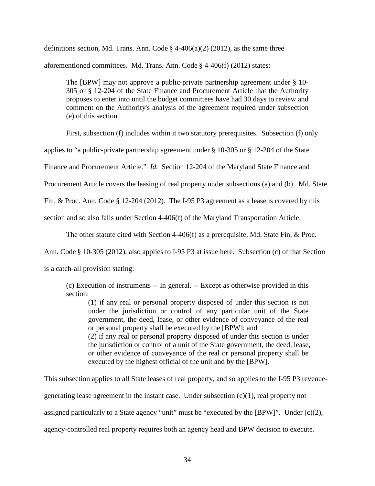definitions section, Md. Trans. Ann. Code  $\S$  4-406(a)(2) (2012), as the same three aforementioned committees. Md. Trans. Ann. Code § 4-406(f) (2012) states:

The [BPW] may not approve a public-private partnership agreement under § 10- 305 or § 12-204 of the State Finance and Procurement Article that the Authority proposes to enter into until the budget committees have had 30 days to review and comment on the Authority's analysis of the agreement required under subsection (e) of this section.

First, subsection (f) includes within it two statutory prerequisites. Subsection (f) only

applies to "a public-private partnership agreement under § 10-305 or § 12-204 of the State

Finance and Procurement Article." *Id.* Section 12-204 of the Maryland State Finance and

Procurement Article covers the leasing of real property under subsections (a) and (b). Md. State

Fin. & Proc. Ann. Code § 12-204 (2012). The I-95 P3 agreement as a lease is covered by this

section and so also falls under Section 4-406(f) of the Maryland Transportation Article.

The other statute cited with Section 4-406(f) as a prerequisite, Md. State Fin. & Proc.

Ann. Code § 10-305 (2012), also applies to I-95 P3 at issue here. Subsection (c) of that Section

is a catch-all provision stating:

(c) Execution of instruments -- In general. -- Except as otherwise provided in this section:

(1) if any real or personal property disposed of under this section is not under the jurisdiction or control of any particular unit of the State government, the deed, lease, or other evidence of conveyance of the real or personal property shall be executed by the [BPW]; and (2) if any real or personal property disposed of under this section is under the jurisdiction or control of a unit of the State government, the deed, lease,

or other evidence of conveyance of the real or personal property shall be executed by the highest official of the unit and by the [BPW].

This subsection applies to all State leases of real property, and so applies to the I-95 P3 revenuegenerating lease agreement in the instant case. Under subsection (c)(1), real property not assigned particularly to a State agency "unit" must be "executed by the [BPW]". Under (c)(2), agency-controlled real property requires both an agency head and BPW decision to execute.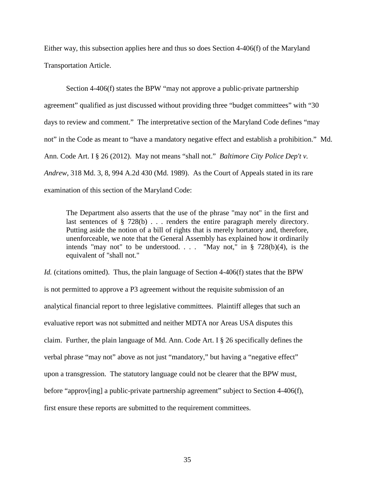Either way, this subsection applies here and thus so does Section 4-406(f) of the Maryland Transportation Article.

Section 4-406(f) states the BPW "may not approve a public-private partnership agreement" qualified as just discussed without providing three "budget committees" with "30 days to review and comment." The interpretative section of the Maryland Code defines "may not" in the Code as meant to "have a mandatory negative effect and establish a prohibition." Md. Ann. Code Art. I § 26 (2012). May not means "shall not." *Baltimore City Police Dep't v. Andrew*, 318 Md. 3, 8, 994 A.2d 430 (Md. 1989). As the Court of Appeals stated in its rare examination of this section of the Maryland Code:

The Department also asserts that the use of the phrase "may not" in the first and last sentences of § 728(b) . . . renders the entire paragraph merely directory. Putting aside the notion of a bill of rights that is merely hortatory and, therefore, unenforceable, we note that the General Assembly has explained how it ordinarily intends "may not" to be understood. . . . "May not," in  $\S$  728(b)(4), is the equivalent of "shall not."

*Id.* (citations omitted). Thus, the plain language of Section 4-406(f) states that the BPW is not permitted to approve a P3 agreement without the requisite submission of an analytical financial report to three legislative committees. Plaintiff alleges that such an evaluative report was not submitted and neither MDTA nor Areas USA disputes this claim. Further, the plain language of Md. Ann. Code Art. I § 26 specifically defines the verbal phrase "may not" above as not just "mandatory," but having a "negative effect" upon a transgression. The statutory language could not be clearer that the BPW must, before "approv[ing] a public-private partnership agreement" subject to Section 4-406(f), first ensure these reports are submitted to the requirement committees.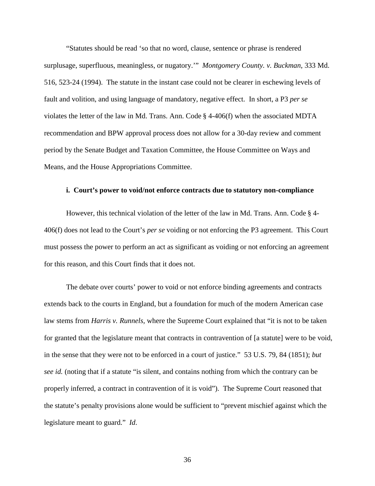"Statutes should be read 'so that no word, clause, sentence or phrase is rendered surplusage, superfluous, meaningless, or nugatory.'" *Montgomery County. v. Buckman*, 333 Md. 516, 523-24 (1994). The statute in the instant case could not be clearer in eschewing levels of fault and volition, and using language of mandatory, negative effect. In short, a P3 *per se* violates the letter of the law in Md. Trans. Ann. Code § 4-406(f) when the associated MDTA recommendation and BPW approval process does not allow for a 30-day review and comment period by the Senate Budget and Taxation Committee, the House Committee on Ways and Means, and the House Appropriations Committee.

#### **i. Court's power to void/not enforce contracts due to statutory non-compliance**

However, this technical violation of the letter of the law in Md. Trans. Ann. Code § 4- 406(f) does not lead to the Court's *per se* voiding or not enforcing the P3 agreement. This Court must possess the power to perform an act as significant as voiding or not enforcing an agreement for this reason, and this Court finds that it does not.

The debate over courts' power to void or not enforce binding agreements and contracts extends back to the courts in England, but a foundation for much of the modern American case law stems from *Harris v. Runnels,* where the Supreme Court explained that "it is not to be taken for granted that the legislature meant that contracts in contravention of [a statute] were to be void, in the sense that they were not to be enforced in a court of justice." 53 U.S. 79, 84 (1851); *but see id.* (noting that if a statute "is silent, and contains nothing from which the contrary can be properly inferred, a contract in contravention of it is void"). The Supreme Court reasoned that the statute's penalty provisions alone would be sufficient to "prevent mischief against which the legislature meant to guard." *Id*.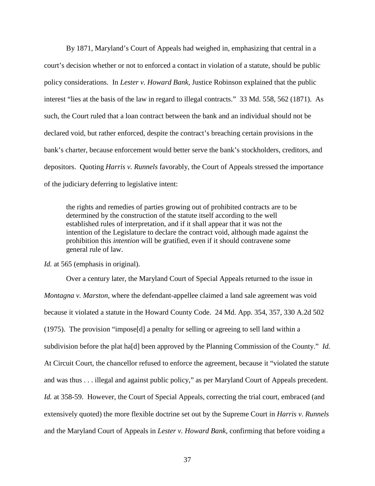By 1871, Maryland's Court of Appeals had weighed in, emphasizing that central in a court's decision whether or not to enforced a contact in violation of a statute, should be public policy considerations. In *Lester v. Howard Bank,* Justice Robinson explained that the public interest "lies at the basis of the law in regard to illegal contracts." 33 Md. 558, 562 (1871). As such, the Court ruled that a loan contract between the bank and an individual should not be declared void, but rather enforced, despite the contract's breaching certain provisions in the bank's charter, because enforcement would better serve the bank's stockholders, creditors, and depositors. Quoting *Harris v. Runnels* favorably, the Court of Appeals stressed the importance of the judiciary deferring to legislative intent:

the rights and remedies of parties growing out of prohibited contracts are to be determined by the construction of the statute itself according to the well established rules of interpretation, and if it shall appear that it was not the intention of the Legislature to declare the contract void, although made against the prohibition this *intention* will be gratified, even if it should contravene some general rule of law.

*Id.* at 565 (emphasis in original).

Over a century later, the Maryland Court of Special Appeals returned to the issue in *Montagna v. Marston,* where the defendant-appellee claimed a land sale agreement was void because it violated a statute in the Howard County Code. 24 Md. App. 354, 357, 330 A.2d 502 (1975). The provision "impose[d] a penalty for selling or agreeing to sell land within a subdivision before the plat ha[d] been approved by the Planning Commission of the County." *Id.*  At Circuit Court, the chancellor refused to enforce the agreement, because it "violated the statute and was thus . . . illegal and against public policy," as per Maryland Court of Appeals precedent. *Id.* at 358-59. However, the Court of Special Appeals, correcting the trial court, embraced (and extensively quoted) the more flexible doctrine set out by the Supreme Court in *Harris v. Runnels*  and the Maryland Court of Appeals in *Lester v. Howard Bank,* confirming that before voiding a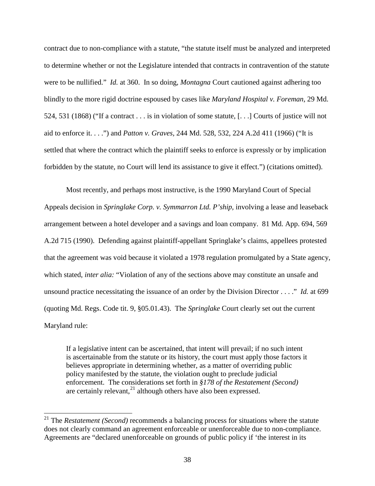contract due to non-compliance with a statute, "the statute itself must be analyzed and interpreted to determine whether or not the Legislature intended that contracts in contravention of the statute were to be nullified." *Id.* at 360. In so doing, *Montagna* Court cautioned against adhering too blindly to the more rigid doctrine espoused by cases like *Maryland Hospital v. Foreman,* 29 Md. 524, 531 (1868) ("If a contract . . . is in violation of some statute, [. . .] Courts of justice will not aid to enforce it. . . .") and *Patton v. Graves,* 244 Md. 528, 532, 224 A.2d 411 (1966) ("It is settled that where the contract which the plaintiff seeks to enforce is expressly or by implication forbidden by the statute, no Court will lend its assistance to give it effect.") (citations omitted).

Most recently, and perhaps most instructive, is the 1990 Maryland Court of Special Appeals decision in *Springlake Corp. v. Symmarron Ltd. P'ship,* involving a lease and leaseback arrangement between a hotel developer and a savings and loan company. 81 Md. App. 694, 569 A.2d 715 (1990). Defending against plaintiff-appellant Springlake's claims, appellees protested that the agreement was void because it violated a 1978 regulation promulgated by a State agency, which stated, *inter alia:* "Violation of any of the sections above may constitute an unsafe and unsound practice necessitating the issuance of an order by the Division Director . . . ." *Id.* at 699 (quoting Md. Regs. Code tit. 9, §05.01.43). The *Springlake* Court clearly set out the current Maryland rule:

If a legislative intent can be ascertained, that intent will prevail; if no such intent is ascertainable from the statute or its history, the court must apply those factors it believes appropriate in determining whether, as a matter of overriding public policy manifested by the statute, the violation ought to preclude judicial enforcement. The considerations set forth in *§178 of the Restatement (Second)*  are certainly relevant, $^{21}$  $^{21}$  $^{21}$  although others have also been expressed.

<span id="page-37-0"></span><sup>21</sup> The *Restatement (Second)* recommends a balancing process for situations where the statute does not clearly command an agreement enforceable or unenforceable due to non-compliance. Agreements are "declared unenforceable on grounds of public policy if 'the interest in its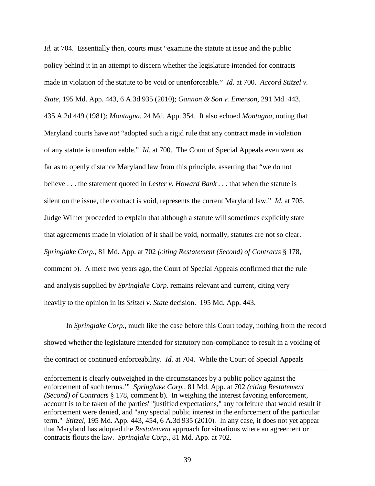*Id.* at 704. Essentially then, courts must "examine the statute at issue and the public policy behind it in an attempt to discern whether the legislature intended for contracts made in violation of the statute to be void or unenforceable." *Id.* at 700. *Accord Stitzel v. State,* 195 Md. App. 443, 6 A.3d 935 (2010); *Gannon & Son v. Emerson,* 291 Md. 443, 435 A.2d 449 (1981); *Montagna*, 24 Md. App. 354.It also echoed *Montagna,* noting that Maryland courts have *not* "adopted such a rigid rule that any contract made in violation of any statute is unenforceable." *Id.* at 700. The Court of Special Appeals even went as far as to openly distance Maryland law from this principle*,* asserting that "we do not believe . . . the statement quoted in *Lester v. Howard Bank* . . . that when the statute is silent on the issue, the contract is void, represents the current Maryland law." *Id.* at 705. Judge Wilner proceeded to explain that although a statute will sometimes explicitly state that agreements made in violation of it shall be void, normally, statutes are not so clear. *Springlake Corp.,* 81 Md. App. at 702 *(citing Restatement (Second) of Contracts* § 178, comment b).A mere two years ago, the Court of Special Appeals confirmed that the rule and analysis supplied by *Springlake Corp.* remains relevant and current, citing very heavily to the opinion in its *Stitzel v. State* decision. 195 Md. App. 443.

In *Springlake Corp.,* much like the case before this Court today, nothing from the record showed whether the legislature intended for statutory non-compliance to result in a voiding of the contract or continued enforceability. *Id.* at 704. While the Court of Special Appeals

i<br>I enforcement is clearly outweighed in the circumstances by a public policy against the enforcement of such terms.'" *Springlake Corp.,* 81 Md. App. at 702 *(citing Restatement (Second) of Contracts* § 178, comment b)*.* In weighing the interest favoring enforcement, account is to be taken of the parties' "justified expectations," any forfeiture that would result if enforcement were denied, and "any special public interest in the enforcement of the particular term." *Stitzel,* 195 Md. App. 443, 454, 6 A.3d 935 (2010)*.* In any case, it does not yet appear that Maryland has adopted the *Restatement* approach for situations where an agreement or contracts flouts the law. *Springlake Corp.,* 81 Md. App. at 702.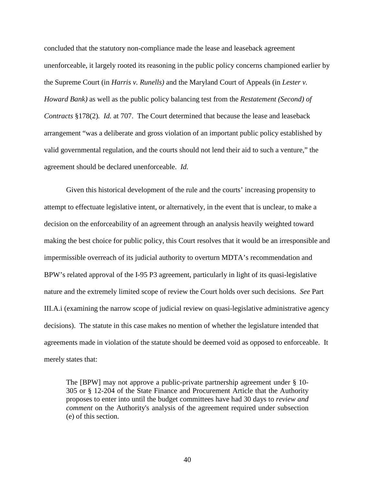concluded that the statutory non-compliance made the lease and leaseback agreement unenforceable, it largely rooted its reasoning in the public policy concerns championed earlier by the Supreme Court (in *Harris v. Runells)* and the Maryland Court of Appeals (in *Lester v. Howard Bank)* as well as the public policy balancing test from the *Restatement (Second) of Contracts* §178(2)*. Id.* at 707. The Court determined that because the lease and leaseback arrangement "was a deliberate and gross violation of an important public policy established by valid governmental regulation, and the courts should not lend their aid to such a venture," the agreement should be declared unenforceable. *Id.*

Given this historical development of the rule and the courts' increasing propensity to attempt to effectuate legislative intent, or alternatively, in the event that is unclear, to make a decision on the enforceability of an agreement through an analysis heavily weighted toward making the best choice for public policy, this Court resolves that it would be an irresponsible and impermissible overreach of its judicial authority to overturn MDTA's recommendation and BPW's related approval of the I-95 P3 agreement, particularly in light of its quasi-legislative nature and the extremely limited scope of review the Court holds over such decisions. *See* Part III.A.i (examining the narrow scope of judicial review on quasi-legislative administrative agency decisions). The statute in this case makes no mention of whether the legislature intended that agreements made in violation of the statute should be deemed void as opposed to enforceable. It merely states that:

The [BPW] may not approve a public-private partnership agreement under § 10- 305 or § 12-204 of the State Finance and Procurement Article that the Authority proposes to enter into until the budget committees have had 30 days to *review and comment* on the Authority's analysis of the agreement required under subsection (e) of this section.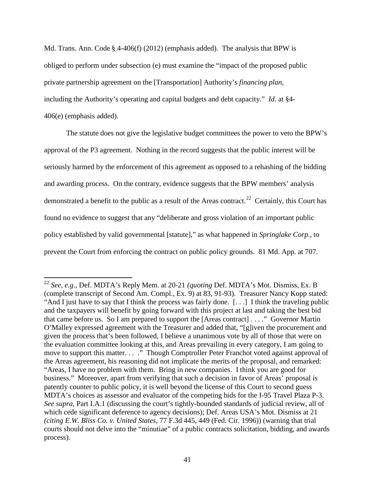Md. Trans. Ann. Code § 4-406(f) (2012) (emphasis added). The analysis that BPW is obliged to perform under subsection (e) must examine the "impact of the proposed public private partnership agreement on the [Transportation] Authority's *financing plan,* including the Authority's operating and capital budgets and debt capacity." *Id.* at §4- 406(e) (emphasis added).

The statute does not give the legislative budget committees the power to veto the BPW's approval of the P3 agreement. Nothing in the record suggests that the public interest will be seriously harmed by the enforcement of this agreement as opposed to a rehashing of the bidding and awarding process. On the contrary, evidence suggests that the BPW members' analysis demonstrated a benefit to the public as a result of the Areas contract.<sup>[22](#page-40-0)</sup> Certainly, this Court has found no evidence to suggest that any "deliberate and gross violation of an important public policy established by valid governmental [statute]," as what happened in *Springlake Corp.*, to prevent the Court from enforcing the contract on public policy grounds. 81 Md. App. at 707.

<span id="page-40-0"></span><sup>22</sup> *See, e.g.*, Def. MDTA's Reply Mem. at 20-21 *(quoting* Def. MDTA's Mot. Dismiss, Ex. B (complete transcript of Second Am. Compl., Ex. 9) at 83, 91-93). Treasurer Nancy Kopp stated: "And I just have to say that I think the process was fairly done. [. . .] I think the traveling public and the taxpayers will benefit by going forward with this project at last and taking the best bid that came before us. So I am prepared to support the [Areas contract] . . . ." Governor Martin O'Malley expressed agreement with the Treasurer and added that, "[g]iven the procurement and given the process that's been followed, I believe a unanimous vote by all of those that were on the evaluation committee looking at this, and Areas prevailing in every category, I am going to move to support this matter. . . ." Though Comptroller Peter Franchot voted against approval of the Areas agreement, his reasoning did not implicate the merits of the proposal, and remarked: "Areas, I have no problem with them. Bring in new companies. I think you are good for business." Moreover, apart from verifying that such a decision in favor of Areas' proposal is patently counter to public policy, it is well beyond the license of this Court to second guess MDTA's choices as assessor and evaluator of the competing bids for the I-95 Travel Plaza P-3. *See supra,* Part I.A.1 (discussing the court's tightly-bounded standards of judicial review, all of which cede significant deference to agency decisions); Def. Areas USA's Mot. Dismiss at 21 *(citing E.W. Bliss Co. v. United States*, 77 F.3d 445, 449 (Fed. Cir. 1996)) (warning that trial courts should not delve into the "minutiae" of a public contracts solicitation, bidding, and awards process).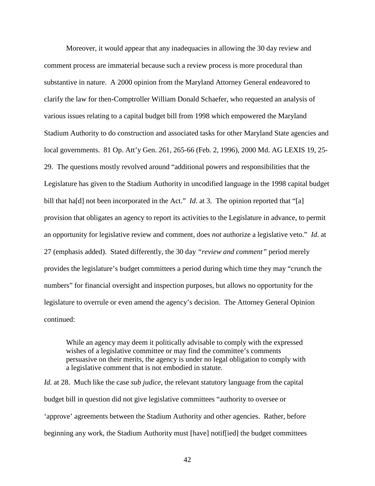Moreover, it would appear that any inadequacies in allowing the 30 day review and comment process are immaterial because such a review process is more procedural than substantive in nature. A 2000 opinion from the Maryland Attorney General endeavored to clarify the law for then-Comptroller William Donald Schaefer, who requested an analysis of various issues relating to a capital budget bill from 1998 which empowered the Maryland Stadium Authority to do construction and associated tasks for other Maryland State agencies and local governments. 81 Op. Att'y Gen. 261, 265-66 (Feb. 2, 1996), 2000 Md. AG LEXIS 19, 25- 29. The questions mostly revolved around "additional powers and responsibilities that the Legislature has given to the Stadium Authority in uncodified language in the 1998 capital budget bill that ha[d] not been incorporated in the Act." *Id.* at 3. The opinion reported that "[a] provision that obligates an agency to report its activities to the Legislature in advance, to permit an opportunity for legislative review and comment, does *not* authorize a legislative veto." *Id*. at 27 (emphasis added). Stated differently, the 30 day *"review and comment"* period merely provides the legislature's budget committees a period during which time they may "crunch the numbers" for financial oversight and inspection purposes, but allows no opportunity for the legislature to overrule or even amend the agency's decision. The Attorney General Opinion continued:

While an agency may deem it politically advisable to comply with the expressed wishes of a legislative committee or may find the committee's comments persuasive on their merits, the agency is under no legal obligation to comply with a legislative comment that is not embodied in statute.

*Id.* at 28. Much like the case *sub judice*, the relevant statutory language from the capital budget bill in question did not give legislative committees "authority to oversee or 'approve' agreements between the Stadium Authority and other agencies. Rather, before beginning any work, the Stadium Authority must [have] notif[ied] the budget committees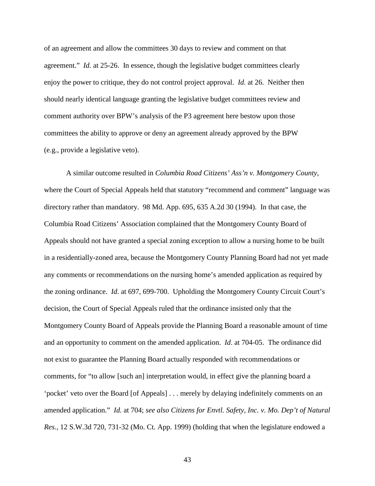of an agreement and allow the committees 30 days to review and comment on that agreement." *Id.* at 25-26. In essence, though the legislative budget committees clearly enjoy the power to critique, they do not control project approval. *Id.* at 26. Neither then should nearly identical language granting the legislative budget committees review and comment authority over BPW's analysis of the P3 agreement here bestow upon those committees the ability to approve or deny an agreement already approved by the BPW (e.g., provide a legislative veto).

A similar outcome resulted in *Columbia Road Citizens' Ass'n v. Montgomery County,*  where the Court of Special Appeals held that statutory "recommend and comment" language was directory rather than mandatory. 98 Md. App. 695, 635 A.2d 30 (1994). In that case, the Columbia Road Citizens' Association complained that the Montgomery County Board of Appeals should not have granted a special zoning exception to allow a nursing home to be built in a residentially-zoned area, because the Montgomery County Planning Board had not yet made any comments or recommendations on the nursing home's amended application as required by the zoning ordinance. *Id*. at 697, 699-700. Upholding the Montgomery County Circuit Court's decision, the Court of Special Appeals ruled that the ordinance insisted only that the Montgomery County Board of Appeals provide the Planning Board a reasonable amount of time and an opportunity to comment on the amended application. *Id*. at 704-05. The ordinance did not exist to guarantee the Planning Board actually responded with recommendations or comments, for "to allow [such an] interpretation would, in effect give the planning board a 'pocket' veto over the Board [of Appeals] . . . merely by delaying indefinitely comments on an amended application." *Id.* at 704; *see also Citizens for Envtl. Safety, Inc. v. Mo. Dep't of Natural Res.*, 12 S.W.3d 720, 731-32 (Mo. Ct. App. 1999) (holding that when the legislature endowed a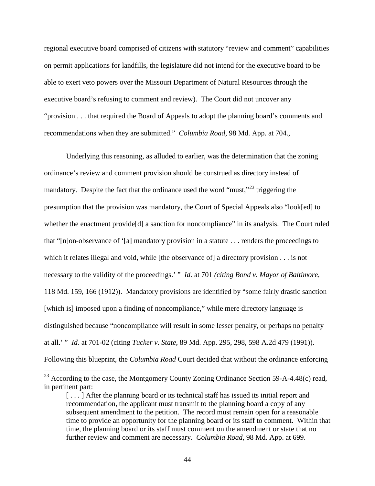regional executive board comprised of citizens with statutory "review and comment" capabilities on permit applications for landfills, the legislature did not intend for the executive board to be able to exert veto powers over the Missouri Department of Natural Resources through the executive board's refusing to comment and review). The Court did not uncover any "provision . . . that required the Board of Appeals to adopt the planning board's comments and recommendations when they are submitted." *Columbia Road,* 98 Md. App. at 704.*,* 

Underlying this reasoning, as alluded to earlier, was the determination that the zoning ordinance's review and comment provision should be construed as directory instead of mandatory. Despite the fact that the ordinance used the word "must,"<sup>[23](#page-43-0)</sup> triggering the presumption that the provision was mandatory, the Court of Special Appeals also "look[ed] to whether the enactment provide<sup>[d]</sup> a sanction for noncompliance" in its analysis. The Court ruled that "[n]on-observance of '[a] mandatory provision in a statute . . . renders the proceedings to which it relates illegal and void, while [the observance of] a directory provision . . . is not necessary to the validity of the proceedings.' " *Id.* at 701 *(citing Bond v. Mayor of Baltimore*, 118 Md. 159, 166 (1912)). Mandatory provisions are identified by "some fairly drastic sanction [which is] imposed upon a finding of noncompliance," while mere directory language is distinguished because "noncompliance will result in some lesser penalty, or perhaps no penalty at all.' " *Id.* at 701-02 (citing *Tucker v. State*, 89 Md. App. 295, 298, 598 A.2d 479 (1991)). Following this blueprint, the *Columbia Road* Court decided that without the ordinance enforcing

<span id="page-43-0"></span><sup>&</sup>lt;sup>23</sup> According to the case, the Montgomery County Zoning Ordinance Section 59-A-4.48(c) read, in pertinent part:

<sup>[...]</sup> After the planning board or its technical staff has issued its initial report and recommendation, the applicant must transmit to the planning board a copy of any subsequent amendment to the petition. The record must remain open for a reasonable time to provide an opportunity for the planning board or its staff to comment. Within that time, the planning board or its staff must comment on the amendment or state that no further review and comment are necessary. *Columbia Road*, 98 Md. App. at 699.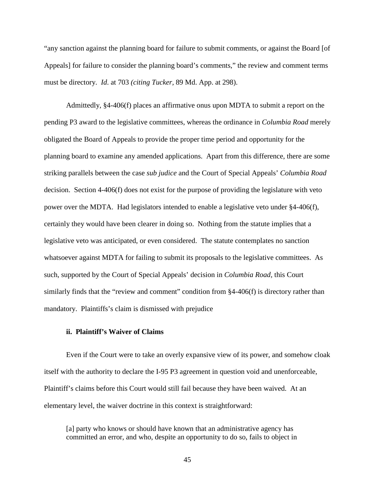"any sanction against the planning board for failure to submit comments, or against the Board [of Appeals] for failure to consider the planning board's comments," the review and comment terms must be directory. *Id*. at 703 *(citing Tucker,* 89 Md. App. at 298).

Admittedly, §4-406(f) places an affirmative onus upon MDTA to submit a report on the pending P3 award to the legislative committees, whereas the ordinance in *Columbia Road* merely obligated the Board of Appeals to provide the proper time period and opportunity for the planning board to examine any amended applications. Apart from this difference, there are some striking parallels between the case *sub judice* and the Court of Special Appeals' *Columbia Road*  decision. Section 4-406(f) does not exist for the purpose of providing the legislature with veto power over the MDTA. Had legislators intended to enable a legislative veto under §4-406(f), certainly they would have been clearer in doing so. Nothing from the statute implies that a legislative veto was anticipated, or even considered. The statute contemplates no sanction whatsoever against MDTA for failing to submit its proposals to the legislative committees. As such, supported by the Court of Special Appeals' decision in *Columbia Road,* this Court similarly finds that the "review and comment" condition from §4-406(f) is directory rather than mandatory. Plaintiffs's claim is dismissed with prejudice

# **ii. Plaintiff's Waiver of Claims**

Even if the Court were to take an overly expansive view of its power, and somehow cloak itself with the authority to declare the I-95 P3 agreement in question void and unenforceable, Plaintiff's claims before this Court would still fail because they have been waived. At an elementary level, the waiver doctrine in this context is straightforward:

[a] party who knows or should have known that an administrative agency has committed an error, and who, despite an opportunity to do so, fails to object in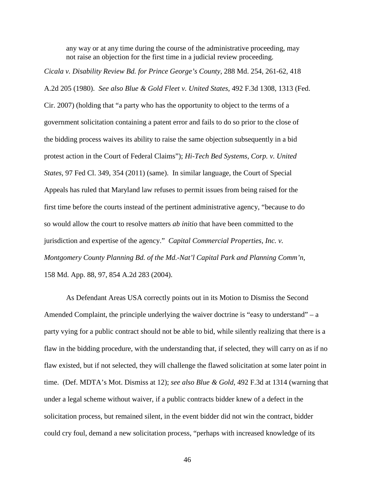any way or at any time during the course of the administrative proceeding, may not raise an objection for the first time in a judicial review proceeding.

*Cicala v. Disability Review Bd. for Prince George's County*, 288 Md. 254, 261-62, 418

A.2d 205 (1980). *See also Blue & Gold Fleet v. United States*, 492 F.3d 1308, 1313 (Fed.

Cir. 2007) (holding that "a party who has the opportunity to object to the terms of a government solicitation containing a patent error and fails to do so prior to the close of the bidding process waives its ability to raise the same objection subsequently in a bid protest action in the Court of Federal Claims"); *Hi-Tech Bed Systems, Corp. v. United States,* 97 Fed Cl. 349, 354 (2011) (same). In similar language, the Court of Special Appeals has ruled that Maryland law refuses to permit issues from being raised for the first time before the courts instead of the pertinent administrative agency, "because to do so would allow the court to resolve matters *ab initio* that have been committed to the jurisdiction and expertise of the agency." *Capital Commercial Properties, Inc. v. Montgomery County Planning Bd. of the Md.-Nat'l Capital Park and Planning Comm'n,*  158 Md. App. 88, 97, 854 A.2d 283 (2004).

As Defendant Areas USA correctly points out in its Motion to Dismiss the Second Amended Complaint, the principle underlying the waiver doctrine is "easy to understand" – a party vying for a public contract should not be able to bid, while silently realizing that there is a flaw in the bidding procedure, with the understanding that, if selected, they will carry on as if no flaw existed, but if not selected, they will challenge the flawed solicitation at some later point in time. (Def. MDTA's Mot. Dismiss at 12); *see also Blue & Gold*, 492 F.3d at 1314 (warning that under a legal scheme without waiver, if a public contracts bidder knew of a defect in the solicitation process, but remained silent, in the event bidder did not win the contract, bidder could cry foul, demand a new solicitation process, "perhaps with increased knowledge of its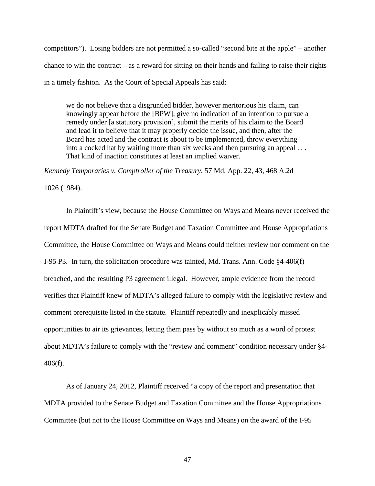competitors"). Losing bidders are not permitted a so-called "second bite at the apple" – another chance to win the contract – as a reward for sitting on their hands and failing to raise their rights in a timely fashion. As the Court of Special Appeals has said:

we do not believe that a disgruntled bidder, however meritorious his claim, can knowingly appear before the [BPW], give no indication of an intention to pursue a remedy under [a statutory provision], submit the merits of his claim to the Board and lead it to believe that it may properly decide the issue, and then, after the Board has acted and the contract is about to be implemented, throw everything into a cocked hat by waiting more than six weeks and then pursuing an appeal . . . That kind of inaction constitutes at least an implied waiver.

*Kennedy Temporaries v. Comptroller of the Treasury,* 57 Md. App. 22, 43, 468 A.2d

1026 (1984).

In Plaintiff's view, because the House Committee on Ways and Means never received the report MDTA drafted for the Senate Budget and Taxation Committee and House Appropriations Committee, the House Committee on Ways and Means could neither review nor comment on the I-95 P3. In turn, the solicitation procedure was tainted, Md. Trans. Ann. Code §4-406(f) breached, and the resulting P3 agreement illegal. However, ample evidence from the record verifies that Plaintiff knew of MDTA's alleged failure to comply with the legislative review and comment prerequisite listed in the statute. Plaintiff repeatedly and inexplicably missed opportunities to air its grievances, letting them pass by without so much as a word of protest about MDTA's failure to comply with the "review and comment" condition necessary under §4- 406(f).

As of January 24, 2012, Plaintiff received "a copy of the report and presentation that MDTA provided to the Senate Budget and Taxation Committee and the House Appropriations Committee (but not to the House Committee on Ways and Means) on the award of the I-95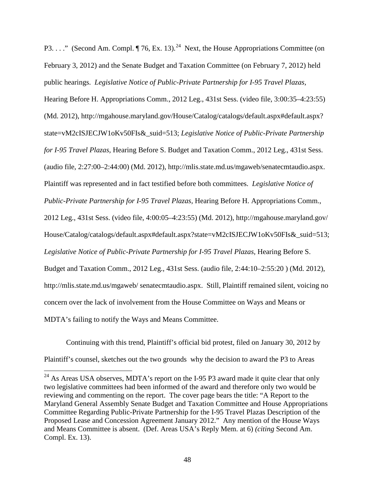P3. . . ." (Second Am. Compl.  $\P$  76, Ex. 13).<sup>[24](#page-47-0)</sup> Next, the House Appropriations Committee (on February 3, 2012) and the Senate Budget and Taxation Committee (on February 7, 2012) held public hearings. *Legislative Notice of Public-Private Partnership for I-95 Travel Plazas,*  Hearing Before H. Appropriations Comm., 2012 Leg., 431st Sess. (video file, 3:00:35–4:23:55) (Md. 2012), http://mgahouse.maryland.gov/House/Catalog/catalogs/default.aspx#default.aspx? state=vM2cISJECJW1oKv50FIs&\_suid=513; *Legislative Notice of Public-Private Partnership for I-95 Travel Plazas,* Hearing Before S. Budget and Taxation Comm., 2012 Leg., 431st Sess. (audio file, 2:27:00–2:44:00) (Md. 2012), http://mlis.state.md.us/mgaweb/senatecmtaudio.aspx. Plaintiff was represented and in fact testified before both committees. *Legislative Notice of Public-Private Partnership for I-95 Travel Plazas,* Hearing Before H. Appropriations Comm., 2012 Leg., 431st Sess. (video file, 4:00:05–4:23:55) (Md. 2012), http://mgahouse.maryland.gov/ House/Catalog/catalogs/default.aspx#default.aspx?state=vM2cISJECJW1oKv50FIs&\_suid=513; Legislative Notice of Public-Private Partnership for I-95 Travel Plazas, Hearing Before S. Budget and Taxation Comm., 2012 Leg., 431st Sess. (audio file, 2:44:10–2:55:20 ) (Md. 2012), http://mlis.state.md.us/mgaweb/ senatecmtaudio.aspx. Still, Plaintiff remained silent, voicing no concern over the lack of involvement from the House Committee on Ways and Means or MDTA's failing to notify the Ways and Means Committee.

Continuing with this trend, Plaintiff's official bid protest, filed on January 30, 2012 by Plaintiff's counsel, sketches out the two grounds why the decision to award the P3 to Areas

<span id="page-47-0"></span><sup>&</sup>lt;sup>24</sup> As Areas USA observes, MDTA's report on the I-95 P3 award made it quite clear that only two legislative committees had been informed of the award and therefore only two would be reviewing and commenting on the report. The cover page bears the title: "A Report to the Maryland General Assembly Senate Budget and Taxation Committee and House Appropriations Committee Regarding Public-Private Partnership for the I-95 Travel Plazas Description of the Proposed Lease and Concession Agreement January 2012." Any mention of the House Ways and Means Committee is absent. (Def. Areas USA's Reply Mem. at 6) *(citing* Second Am. Compl. Ex. 13).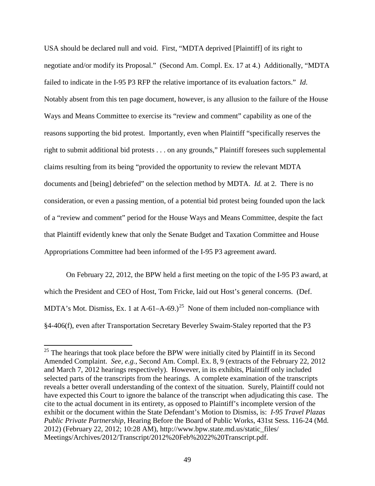USA should be declared null and void. First, "MDTA deprived [Plaintiff] of its right to negotiate and/or modify its Proposal." (Second Am. Compl. Ex. 17 at 4.) Additionally, "MDTA failed to indicate in the I-95 P3 RFP the relative importance of its evaluation factors." *Id*. Notably absent from this ten page document, however, is any allusion to the failure of the House Ways and Means Committee to exercise its "review and comment" capability as one of the reasons supporting the bid protest. Importantly, even when Plaintiff "specifically reserves the right to submit additional bid protests . . . on any grounds," Plaintiff foresees such supplemental claims resulting from its being "provided the opportunity to review the relevant MDTA documents and [being] debriefed" on the selection method by MDTA. *Id.* at 2. There is no consideration, or even a passing mention, of a potential bid protest being founded upon the lack of a "review and comment" period for the House Ways and Means Committee, despite the fact that Plaintiff evidently knew that only the Senate Budget and Taxation Committee and House Appropriations Committee had been informed of the I-95 P3 agreement award.

On February 22, 2012, the BPW held a first meeting on the topic of the I-95 P3 award, at which the President and CEO of Host, Tom Fricke, laid out Host's general concerns. (Def. MDTA's Mot. Dismiss, Ex. 1 at  $A-61-A-69$ .)<sup>25</sup> None of them included non-compliance with §4-406(f), even after Transportation Secretary Beverley Swaim-Staley reported that the P3

<span id="page-48-0"></span> $25$  The hearings that took place before the BPW were initially cited by Plaintiff in its Second Amended Complaint. *See, e.g.*, Second Am. Compl. Ex. 8, 9 (extracts of the February 22, 2012 and March 7, 2012 hearings respectively). However, in its exhibits, Plaintiff only included selected parts of the transcripts from the hearings. A complete examination of the transcripts reveals a better overall understanding of the context of the situation. Surely, Plaintiff could not have expected this Court to ignore the balance of the transcript when adjudicating this case. The cite to the actual document in its entirety, as opposed to Plaintiff's incomplete version of the exhibit or the document within the State Defendant's Motion to Dismiss, is: *I-95 Travel Plazas Public Private Partnership,* Hearing Before the Board of Public Works, 431st Sess. 116-24 (Md. 2012) (February 22, 2012; 10:28 AM), http://www.bpw.state.md.us/static\_files/ Meetings/Archives/2012/Transcript/2012%20Feb%2022%20Transcript.pdf.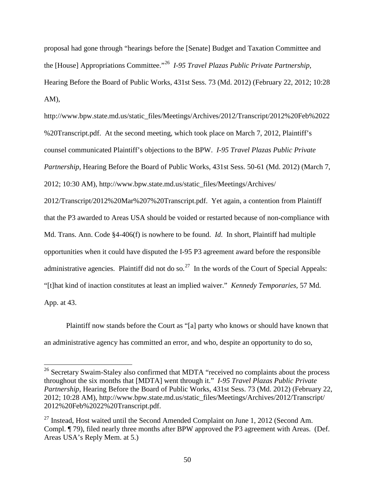proposal had gone through "hearings before the [Senate] Budget and Taxation Committee and the [House] Appropriations Committee."[26](#page-49-0) *I-95 Travel Plazas Public Private Partnership,*  Hearing Before the Board of Public Works, 431st Sess. 73 (Md. 2012) (February 22, 2012; 10:28 AM),

http://www.bpw.state.md.us/static\_files/Meetings/Archives/2012/Transcript/2012%20Feb%2022 %20Transcript.pdf. At the second meeting, which took place on March 7, 2012, Plaintiff's counsel communicated Plaintiff's objections to the BPW. *I-95 Travel Plazas Public Private Partnership*, Hearing Before the Board of Public Works, 431st Sess. 50-61 (Md. 2012) (March 7, 2012; 10:30 AM), http://www.bpw.state.md.us/static\_files/Meetings/Archives/

2012/Transcript/2012%20Mar%207%20Transcript.pdf. Yet again, a contention from Plaintiff that the P3 awarded to Areas USA should be voided or restarted because of non-compliance with Md. Trans. Ann. Code §4-406(f) is nowhere to be found. *Id*. In short, Plaintiff had multiple opportunities when it could have disputed the I-95 P3 agreement award before the responsible administrative agencies. Plaintiff did not do so.<sup>[27](#page-49-1)</sup> In the words of the Court of Special Appeals: "[t]hat kind of inaction constitutes at least an implied waiver." *Kennedy Temporaries,* 57 Md. App. at 43.

Plaintiff now stands before the Court as "[a] party who knows or should have known that an administrative agency has committed an error, and who, despite an opportunity to do so,

<span id="page-49-0"></span> $26$  Secretary Swaim-Staley also confirmed that MDTA "received no complaints about the process throughout the six months that [MDTA] went through it." *I-95 Travel Plazas Public Private Partnership,* Hearing Before the Board of Public Works, 431st Sess. 73 (Md. 2012) (February 22, 2012; 10:28 AM), http://www.bpw.state.md.us/static\_files/Meetings/Archives/2012/Transcript/ 2012%20Feb%2022%20Transcript.pdf.

<span id="page-49-1"></span> $^{27}$  Instead, Host waited until the Second Amended Complaint on June 1, 2012 (Second Am. Compl. ¶ 79), filed nearly three months after BPW approved the P3 agreement with Areas. (Def. Areas USA's Reply Mem. at 5.)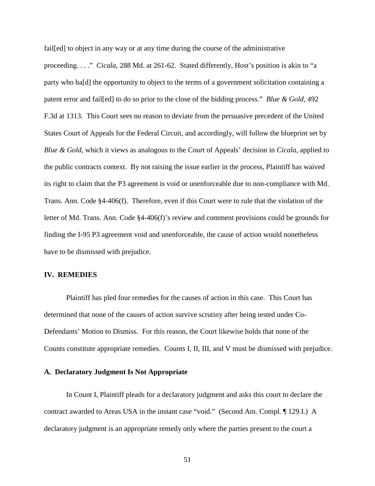fail[ed] to object in any way or at any time during the course of the administrative proceeding. . . ." *Cicala*, 288 Md. at 261-62. Stated differently, Host's position is akin to "a party who ha[d] the opportunity to object to the terms of a government solicitation containing a patent error and fail[ed] to do so prior to the close of the bidding process." *Blue & Gold*, 492 F.3d at 1313. This Court sees no reason to deviate from the persuasive precedent of the United States Court of Appeals for the Federal Circuit, and accordingly, will follow the blueprint set by *Blue & Gold,* which it views as analogous to the Court of Appeals' decision in *Cicala,* applied to the public contracts context. By not raising the issue earlier in the process, Plaintiff has waived its right to claim that the P3 agreement is void or unenforceable due to non-compliance with Md. Trans. Ann. Code §4-406(f). Therefore, even if this Court were to rule that the violation of the letter of Md. Trans. Ann. Code §4-406(f)'s review and comment provisions could be grounds for finding the I-95 P3 agreement void and unenforceable, the cause of action would nonetheless have to be dismissed with prejudice.

# **IV. REMEDIES**

Plaintiff has pled four remedies for the causes of action in this case. This Court has determined that none of the causes of action survive scrutiny after being tested under Co-Defendants' Motion to Dismiss.For this reason, the Court likewise holds that none of the Counts constitute appropriate remedies. Counts I, II, III, and V must be dismissed with prejudice.

# **A. Declaratory Judgment Is Not Appropriate**

In Count I, Plaintiff pleads for a declaratory judgment and asks this court to declare the contract awarded to Areas USA in the instant case "void." (Second Am. Compl*.* ¶ 129.I.) A declaratory judgment is an appropriate remedy only where the parties present to the court a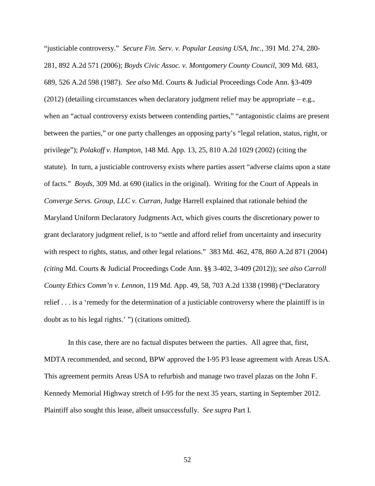"justiciable controversy." *Secure Fin. Serv. v. Popular Leasing USA, Inc.*, 391 Md. 274, 280- 281, 892 A.2d 571 (2006); *Boyds Civic Assoc. v. Montgomery County Council*, 309 Md. 683, 689, 526 A.2d 598 (1987). *See also* Md. Courts & Judicial Proceedings Code Ann. §3-409  $(2012)$  (detailing circumstances when declaratory judgment relief may be appropriate – e.g., when an "actual controversy exists between contending parties," "antagonistic claims are present between the parties," or one party challenges an opposing party's "legal relation, status, right, or privilege"); *Polakoff v. Hampton*, 148 Md. App. 13, 25, 810 A.2d 1029 (2002) (citing the statute). In turn, a justiciable controversy exists where parties assert "adverse claims upon a state of facts." *Boyds*, 309 Md. at 690 (italics in the original). Writing for the Court of Appeals in *Converge Servs. Group, LLC v. Curran*, Judge Harrell explained that rationale behind the Maryland Uniform Declaratory Judgments Act, which gives courts the discretionary power to grant declaratory judgment relief, is to "settle and afford relief from uncertainty and insecurity with respect to rights, status, and other legal relations." 383 Md. 462, 478, 860 A.2d 871 (2004) *(citing* Md. Courts & Judicial Proceedings Code Ann. §§ 3-402, 3-409 (2012)); *see also Carroll County Ethics Comm'n v. Lennon*, 119 Md. App. 49, 58, 703 A.2d 1338 (1998) ("Declaratory relief . . . is a 'remedy for the determination of a justiciable controversy where the plaintiff is in doubt as to his legal rights.' ") (citations omitted).

In this case, there are no factual disputes between the parties. All agree that, first, MDTA recommended, and second, BPW approved the I-95 P3 lease agreement with Areas USA. This agreement permits Areas USA to refurbish and manage two travel plazas on the John F. Kennedy Memorial Highway stretch of I-95 for the next 35 years, starting in September 2012. Plaintiff also sought this lease, albeit unsuccessfully. *See supra* Part I.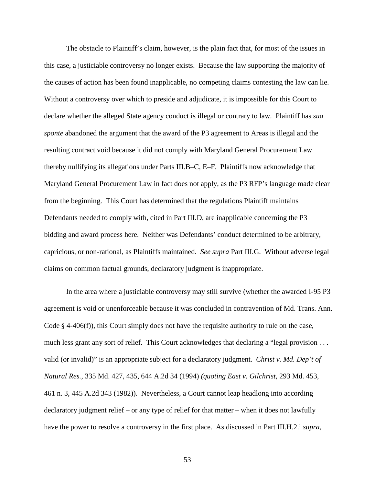The obstacle to Plaintiff's claim, however, is the plain fact that, for most of the issues in this case, a justiciable controversy no longer exists. Because the law supporting the majority of the causes of action has been found inapplicable, no competing claims contesting the law can lie. Without a controversy over which to preside and adjudicate, it is impossible for this Court to declare whether the alleged State agency conduct is illegal or contrary to law. Plaintiff has *sua sponte* abandoned the argument that the award of the P3 agreement to Areas is illegal and the resulting contract void because it did not comply with Maryland General Procurement Law thereby nullifying its allegations under Parts III.B–C, E–F. Plaintiffs now acknowledge that Maryland General Procurement Law in fact does not apply, as the P3 RFP's language made clear from the beginning. This Court has determined that the regulations Plaintiff maintains Defendants needed to comply with, cited in Part III.D, are inapplicable concerning the P3 bidding and award process here. Neither was Defendants' conduct determined to be arbitrary, capricious, or non-rational, as Plaintiffs maintained. *See supra* Part III.G. Without adverse legal claims on common factual grounds, declaratory judgment is inappropriate.

In the area where a justiciable controversy may still survive (whether the awarded I-95 P3 agreement is void or unenforceable because it was concluded in contravention of Md. Trans. Ann. Code  $\S$  4-406(f)), this Court simply does not have the requisite authority to rule on the case, much less grant any sort of relief. This Court acknowledges that declaring a "legal provision . . . valid (or invalid)" is an appropriate subject for a declaratory judgment. *Christ v. Md. Dep't of Natural Res.*, 335 Md. 427, 435, 644 A.2d 34 (1994) *(quoting East v. Gilchrist*, 293 Md. 453, 461 n. 3, 445 A.2d 343 (1982)). Nevertheless, a Court cannot leap headlong into according declaratory judgment relief – or any type of relief for that matter – when it does not lawfully have the power to resolve a controversy in the first place. As discussed in Part III.H.2.i *supra,*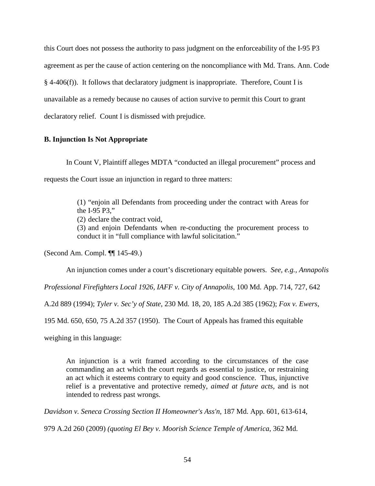this Court does not possess the authority to pass judgment on the enforceability of the I-95 P3 agreement as per the cause of action centering on the noncompliance with Md. Trans. Ann. Code § 4-406(f)). It follows that declaratory judgment is inappropriate. Therefore, Count I is unavailable as a remedy because no causes of action survive to permit this Court to grant declaratory relief. Count I is dismissed with prejudice.

# **B. Injunction Is Not Appropriate**

In Count V, Plaintiff alleges MDTA "conducted an illegal procurement" process and requests the Court issue an injunction in regard to three matters:

> (1) "enjoin all Defendants from proceeding under the contract with Areas for the I-95 P3,"

(2) declare the contract void,

(3) and enjoin Defendants when re-conducting the procurement process to conduct it in "full compliance with lawful solicitation."

(Second Am. Compl. ¶¶ 145-49.)

An injunction comes under a court's discretionary equitable powers. *See, e.g., Annapolis* 

*Professional Firefighters Local 1926, IAFF v. City of Annapolis,* 100 Md. App. 714, 727, 642

A.2d 889 (1994); *Tyler v. Sec'y of State*, 230 Md. 18, 20, 185 A.2d 385 (1962); *Fox v. Ewers*,

195 Md. 650, 650, 75 A.2d 357 (1950). The Court of Appeals has framed this equitable

weighing in this language:

An injunction is a writ framed according to the circumstances of the case commanding an act which the court regards as essential to justice, or restraining an act which it esteems contrary to equity and good conscience. Thus, injunctive relief is a preventative and protective remedy, *aimed at future acts,* and is not intended to redress past wrongs.

*Davidson v. Seneca Crossing Section II Homeowner's Ass'n*, 187 Md. App. 601, 613-614,

979 A.2d 260 (2009) *(quoting El Bey v. Moorish Science Temple of America*, 362 Md.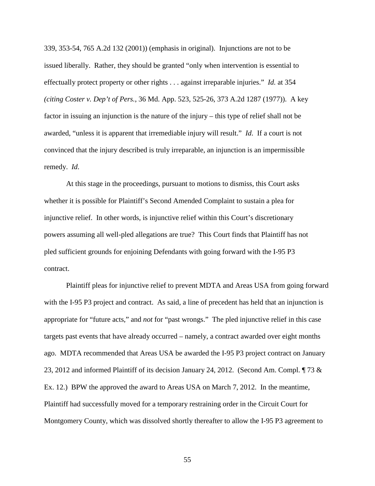339, 353-54, 765 A.2d 132 (2001)) (emphasis in original). Injunctions are not to be issued liberally. Rather, they should be granted "only when intervention is essential to effectually protect property or other rights . . . against irreparable injuries." *Id.* at 354 *(citing Coster v. Dep't of Pers.*, 36 Md. App. 523, 525-26, 373 A.2d 1287 (1977)). A key factor in issuing an injunction is the nature of the injury – this type of relief shall not be awarded, "unless it is apparent that irremediable injury will result." *Id*. If a court is not convinced that the injury described is truly irreparable, an injunction is an impermissible remedy. *Id*.

At this stage in the proceedings, pursuant to motions to dismiss, this Court asks whether it is possible for Plaintiff's Second Amended Complaint to sustain a plea for injunctive relief. In other words, is injunctive relief within this Court's discretionary powers assuming all well-pled allegations are true? This Court finds that Plaintiff has not pled sufficient grounds for enjoining Defendants with going forward with the I-95 P3 contract.

Plaintiff pleas for injunctive relief to prevent MDTA and Areas USA from going forward with the I-95 P3 project and contract. As said, a line of precedent has held that an injunction is appropriate for "future acts," and *not* for "past wrongs." The pled injunctive relief in this case targets past events that have already occurred – namely, a contract awarded over eight months ago. MDTA recommended that Areas USA be awarded the I-95 P3 project contract on January 23, 2012 and informed Plaintiff of its decision January 24, 2012. (Second Am. Compl. ¶ 73 & Ex. 12.) BPW the approved the award to Areas USA on March 7, 2012. In the meantime, Plaintiff had successfully moved for a temporary restraining order in the Circuit Court for Montgomery County, which was dissolved shortly thereafter to allow the I-95 P3 agreement to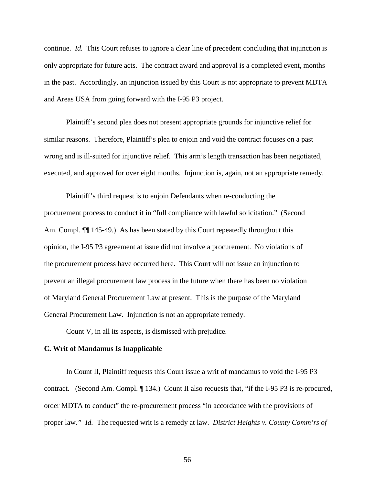continue. *Id.* This Court refuses to ignore a clear line of precedent concluding that injunction is only appropriate for future acts. The contract award and approval is a completed event, months in the past. Accordingly, an injunction issued by this Court is not appropriate to prevent MDTA and Areas USA from going forward with the I-95 P3 project.

Plaintiff's second plea does not present appropriate grounds for injunctive relief for similar reasons. Therefore, Plaintiff's plea to enjoin and void the contract focuses on a past wrong and is ill-suited for injunctive relief. This arm's length transaction has been negotiated, executed, and approved for over eight months. Injunction is, again, not an appropriate remedy.

Plaintiff's third request is to enjoin Defendants when re-conducting the procurement process to conduct it in "full compliance with lawful solicitation." (Second Am. Compl.  $\P$ [145-49.) As has been stated by this Court repeatedly throughout this opinion, the I-95 P3 agreement at issue did not involve a procurement. No violations of the procurement process have occurred here. This Court will not issue an injunction to prevent an illegal procurement law process in the future when there has been no violation of Maryland General Procurement Law at present. This is the purpose of the Maryland General Procurement Law. Injunction is not an appropriate remedy.

Count V, in all its aspects, is dismissed with prejudice.

# **C. Writ of Mandamus Is Inapplicable**

In Count II, Plaintiff requests this Court issue a writ of mandamus to void the I-95 P3 contract. (Second Am. Compl. ¶ 134.) Count II also requests that, "if the I-95 P3 is re-procured, order MDTA to conduct" the re-procurement process "in accordance with the provisions of proper law*." Id.* The requested writ is a remedy at law. *District Heights v. County Comm'rs of*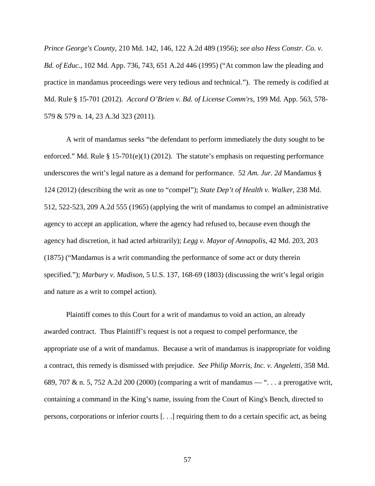*Prince George's County*, 210 Md. 142, 146, 122 A.2d 489 (1956); *see also Hess Constr. Co. v. Bd. of Educ.*, 102 Md. App. 736, 743, 651 A.2d 446 (1995) ("At common law the pleading and practice in mandamus proceedings were very tedious and technical."). The remedy is codified at Md. Rule § 15-701 (2012). *Accord O'Brien v. Bd. of License Comm'rs*, 199 Md. App. 563, 578- 579 & 579 n. 14, 23 A.3d 323 (2011).

A writ of mandamus seeks "the defendant to perform immediately the duty sought to be enforced." Md. Rule § 15-701(e)(1) (2012). The statute's emphasis on requesting performance underscores the writ's legal nature as a demand for performance. 52 *Am. Jur. 2d* Mandamus § 124 (2012) (describing the writ as one to "compel"); *State Dep't of Health v. Walker*, 238 Md. 512, 522-523, 209 A.2d 555 (1965) (applying the writ of mandamus to compel an administrative agency to accept an application, where the agency had refused to, because even though the agency had discretion, it had acted arbitrarily); *Legg v. Mayor of Annapolis*, 42 Md. 203, 203 (1875) ("Mandamus is a writ commanding the performance of some act or duty therein specified."); *Marbury v. Madison*, 5 U.S. 137, 168-69 (1803) (discussing the writ's legal origin and nature as a writ to compel action).

Plaintiff comes to this Court for a writ of mandamus to void an action, an already awarded contract. Thus Plaintiff's request is not a request to compel performance, the appropriate use of a writ of mandamus. Because a writ of mandamus is inappropriate for voiding a contract, this remedy is dismissed with prejudice. *See Philip Morris, Inc. v. Angeletti*, 358 Md. 689, 707 & n. 5, 752 A.2d 200 (2000) (comparing a writ of mandamus — ". . . a prerogative writ, containing a command in the King's name, issuing from the Court of King's Bench, directed to persons, corporations or inferior courts [. . .] requiring them to do a certain specific act, as being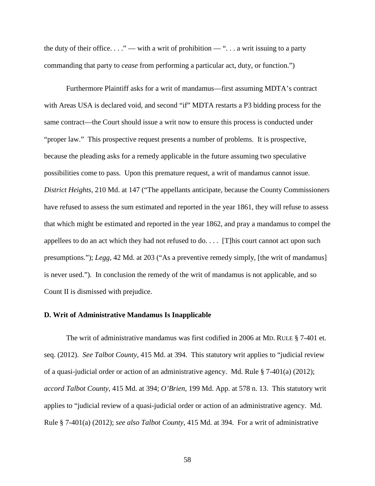the duty of their office.  $\dots$ " — with a writ of prohibition — " $\dots$  a writ issuing to a party commanding that party to *cease* from performing a particular act, duty, or function.")

Furthermore Plaintiff asks for a writ of mandamus—first assuming MDTA's contract with Areas USA is declared void, and second "if" MDTA restarts a P3 bidding process for the same contract—the Court should issue a writ now to ensure this process is conducted under "proper law." This prospective request presents a number of problems. It is prospective, because the pleading asks for a remedy applicable in the future assuming two speculative possibilities come to pass. Upon this premature request, a writ of mandamus cannot issue. *District Heights*, 210 Md. at 147 ("The appellants anticipate, because the County Commissioners have refused to assess the sum estimated and reported in the year 1861, they will refuse to assess that which might be estimated and reported in the year 1862, and pray a mandamus to compel the appellees to do an act which they had not refused to do. . . . [T]his court cannot act upon such presumptions."); *Legg*, 42 Md. at 203 ("As a preventive remedy simply, [the writ of mandamus] is never used."). In conclusion the remedy of the writ of mandamus is not applicable, and so Count II is dismissed with prejudice.

### **D. Writ of Administrative Mandamus Is Inapplicable**

The writ of administrative mandamus was first codified in 2006 at MD. RULE § 7-401 et. seq. (2012). *See Talbot County*, 415 Md. at 394. This statutory writ applies to "judicial review of a quasi-judicial order or action of an administrative agency. Md. Rule § 7-401(a) (2012); *accord Talbot County*, 415 Md. at 394; *O'Brien*, 199 Md. App. at 578 n. 13. This statutory writ applies to "judicial review of a quasi-judicial order or action of an administrative agency. Md. Rule § 7-401(a) (2012); *see also Talbot County*, 415 Md. at 394. For a writ of administrative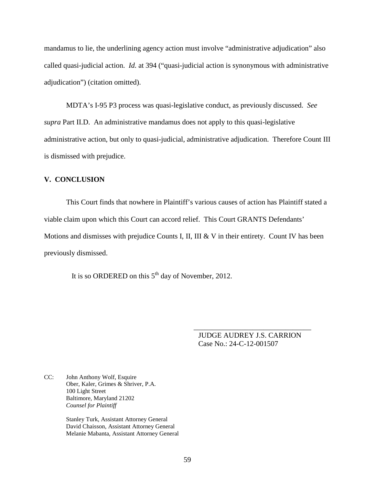mandamus to lie, the underlining agency action must involve "administrative adjudication" also called quasi-judicial action. *Id.* at 394 ("quasi-judicial action is synonymous with administrative adjudication") (citation omitted).

MDTA's I-95 P3 process was quasi-legislative conduct, as previously discussed. *See supra* Part II.D. An administrative mandamus does not apply to this quasi-legislative administrative action, but only to quasi-judicial, administrative adjudication. Therefore Count III is dismissed with prejudice.

# **V. CONCLUSION**

This Court finds that nowhere in Plaintiff's various causes of action has Plaintiff stated a viable claim upon which this Court can accord relief. This Court GRANTS Defendants' Motions and dismisses with prejudice Counts I, II, III & V in their entirety. Count IV has been previously dismissed.

It is so ORDERED on this  $5<sup>th</sup>$  day of November, 2012.

JUDGE AUDREY J.S. CARRION Case No.: 24-C-12-001507

\_\_\_\_\_\_\_\_\_\_\_\_\_\_\_\_\_\_\_\_\_\_\_\_\_\_\_\_\_\_\_\_

CC: John Anthony Wolf, Esquire Ober, Kaler, Grimes & Shriver, P.A. 100 Light Street Baltimore, Maryland 21202 *Counsel for Plaintiff*

> Stanley Turk, Assistant Attorney General David Chaisson, Assistant Attorney General Melanie Mabanta, Assistant Attorney General